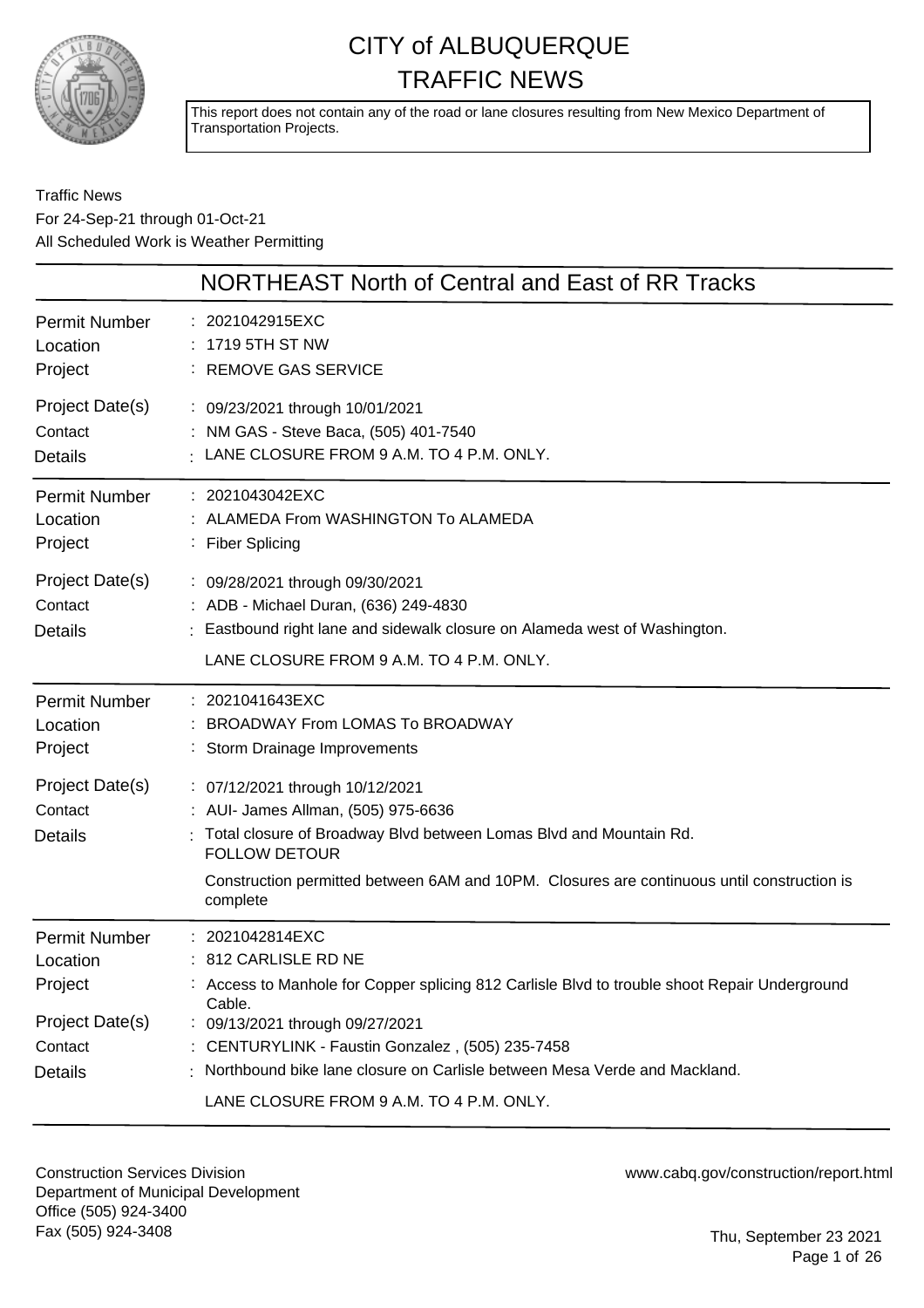

This report does not contain any of the road or lane closures resulting from New Mexico Department of Transportation Projects.

### Traffic News For 24-Sep-21 through 01-Oct-21 All Scheduled Work is Weather Permitting

| NORTHEAST North of Central and East of RR Tracks                                                                                                                                                                                                                                                                                                                     |
|----------------------------------------------------------------------------------------------------------------------------------------------------------------------------------------------------------------------------------------------------------------------------------------------------------------------------------------------------------------------|
| : 2021042915EXC<br>: 1719 5TH ST NW<br>: REMOVE GAS SERVICE                                                                                                                                                                                                                                                                                                          |
| : 09/23/2021 through 10/01/2021<br>: NM GAS - Steve Baca, (505) 401-7540<br>$\pm$ LANE CLOSURE FROM 9 A.M. TO 4 P.M. ONLY.                                                                                                                                                                                                                                           |
| : 2021043042EXC<br>: ALAMEDA From WASHINGTON To ALAMEDA<br>: Fiber Splicing                                                                                                                                                                                                                                                                                          |
| : 09/28/2021 through 09/30/2021<br>: ADB - Michael Duran, (636) 249-4830<br>Eastbound right lane and sidewalk closure on Alameda west of Washington.<br>LANE CLOSURE FROM 9 A.M. TO 4 P.M. ONLY.                                                                                                                                                                     |
| : 2021041643EXC<br><b>BROADWAY From LOMAS To BROADWAY</b><br>Storm Drainage Improvements                                                                                                                                                                                                                                                                             |
| : 07/12/2021 through 10/12/2021<br>: AUI- James Allman, (505) 975-6636<br>Total closure of Broadway Blvd between Lomas Blvd and Mountain Rd.<br><b>FOLLOW DETOUR</b><br>Construction permitted between 6AM and 10PM. Closures are continuous until construction is<br>complete                                                                                       |
| : 2021042814EXC<br>: 812 CARLISLE RD NE<br>: Access to Manhole for Copper splicing 812 Carlisle Blvd to trouble shoot Repair Underground<br>Cable.<br>: 09/13/2021 through 09/27/2021<br>: CENTURYLINK - Faustin Gonzalez, (505) 235-7458<br>: Northbound bike lane closure on Carlisle between Mesa Verde and Mackland.<br>LANE CLOSURE FROM 9 A.M. TO 4 P.M. ONLY. |
|                                                                                                                                                                                                                                                                                                                                                                      |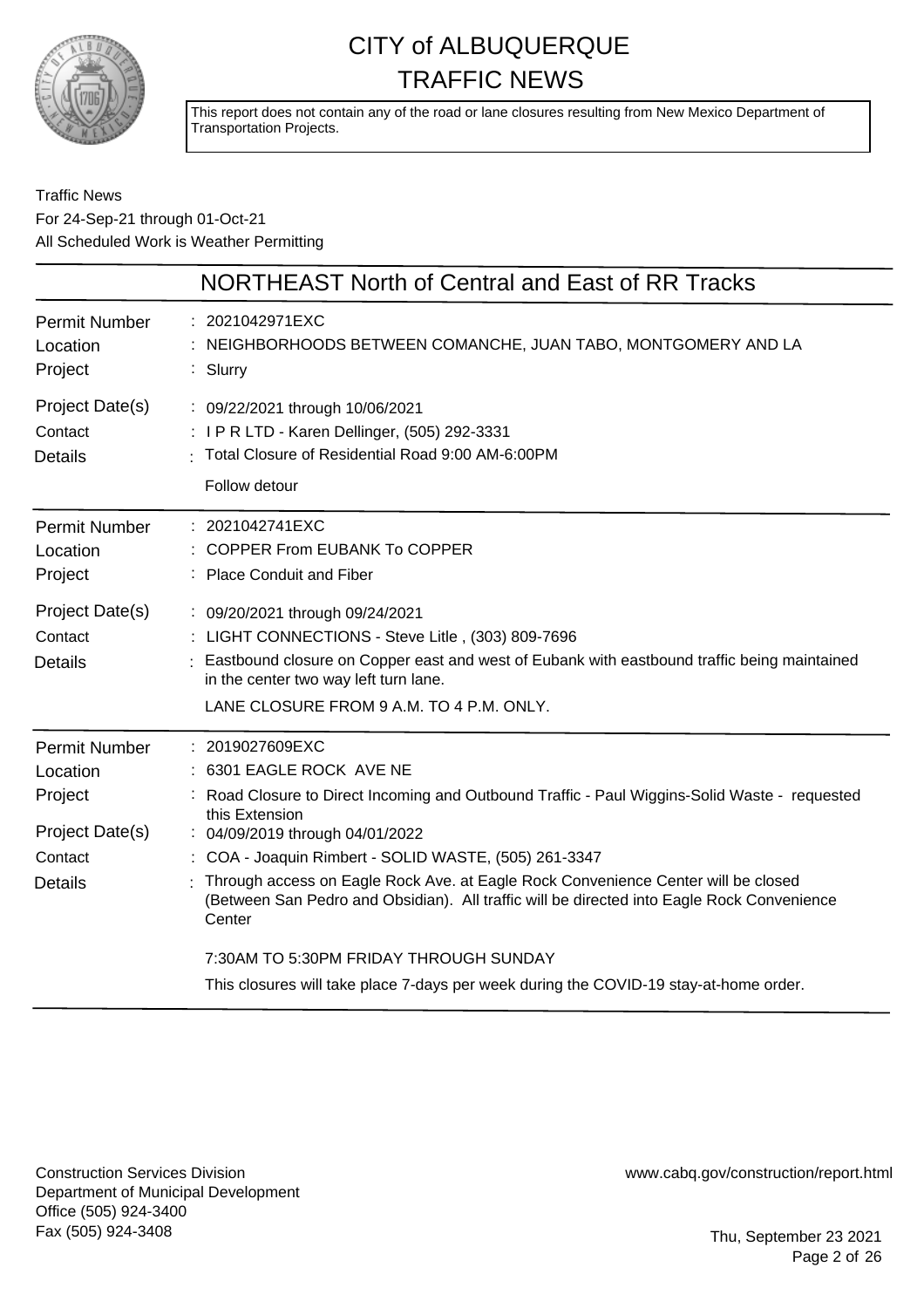

This report does not contain any of the road or lane closures resulting from New Mexico Department of Transportation Projects.

### Traffic News For 24-Sep-21 through 01-Oct-21 All Scheduled Work is Weather Permitting

|                                                                                             | NORTHEAST North of Central and East of RR Tracks                                                                                                                                                                                                                                                                                                                                                                                                                                                |
|---------------------------------------------------------------------------------------------|-------------------------------------------------------------------------------------------------------------------------------------------------------------------------------------------------------------------------------------------------------------------------------------------------------------------------------------------------------------------------------------------------------------------------------------------------------------------------------------------------|
| <b>Permit Number</b><br>Location<br>Project                                                 | : 2021042971EXC<br>NEIGHBORHOODS BETWEEN COMANCHE, JUAN TABO, MONTGOMERY AND LA<br>: Slurry                                                                                                                                                                                                                                                                                                                                                                                                     |
| Project Date(s)<br>Contact<br><b>Details</b>                                                | : 09/22/2021 through 10/06/2021<br>: I P R LTD - Karen Dellinger, (505) 292-3331<br>: Total Closure of Residential Road 9:00 AM-6:00PM<br>Follow detour                                                                                                                                                                                                                                                                                                                                         |
| <b>Permit Number</b><br>Location<br>Project<br>Project Date(s)<br>Contact<br><b>Details</b> | : 2021042741EXC<br><b>COPPER From EUBANK To COPPER</b><br>: Place Conduit and Fiber<br>: 09/20/2021 through 09/24/2021<br>: LIGHT CONNECTIONS - Steve Litle, (303) 809-7696<br>Eastbound closure on Copper east and west of Eubank with eastbound traffic being maintained<br>in the center two way left turn lane.                                                                                                                                                                             |
| <b>Permit Number</b><br>Location<br>Project<br>Project Date(s)<br>Contact<br><b>Details</b> | LANE CLOSURE FROM 9 A.M. TO 4 P.M. ONLY.<br>: 2019027609EXC<br>6301 EAGLE ROCK AVE NE<br>Road Closure to Direct Incoming and Outbound Traffic - Paul Wiggins-Solid Waste - requested<br>this Extension<br>: 04/09/2019 through 04/01/2022<br>: COA - Joaquin Rimbert - SOLID WASTE, (505) 261-3347<br>Through access on Eagle Rock Ave. at Eagle Rock Convenience Center will be closed<br>(Between San Pedro and Obsidian). All traffic will be directed into Eagle Rock Convenience<br>Center |
|                                                                                             | 7:30AM TO 5:30PM FRIDAY THROUGH SUNDAY<br>This closures will take place 7-days per week during the COVID-19 stay-at-home order.                                                                                                                                                                                                                                                                                                                                                                 |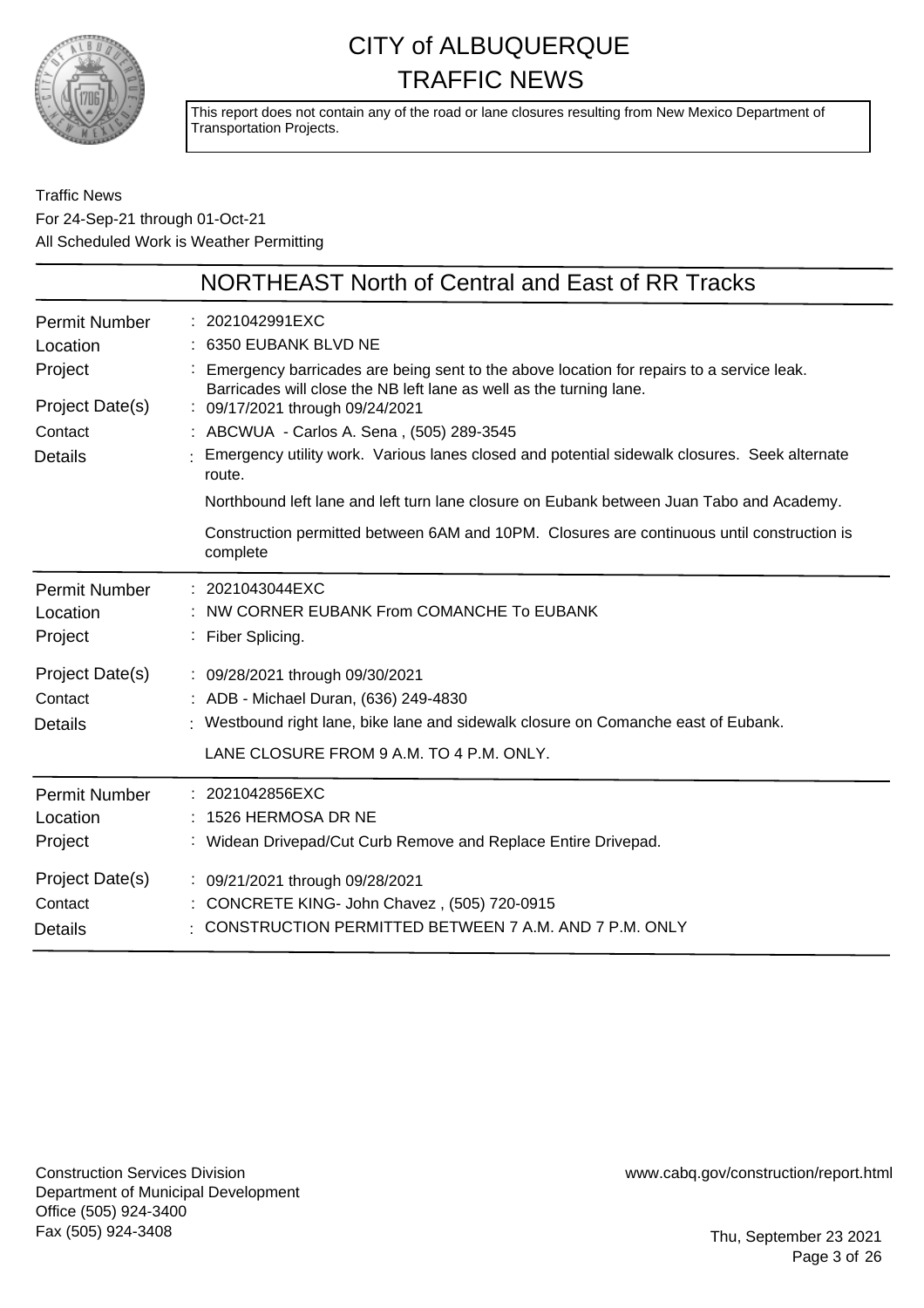

This report does not contain any of the road or lane closures resulting from New Mexico Department of Transportation Projects.

Traffic News For 24-Sep-21 through 01-Oct-21 All Scheduled Work is Weather Permitting

|                                  | NORTHEAST North of Central and East of RR Tracks                                                                                                                  |
|----------------------------------|-------------------------------------------------------------------------------------------------------------------------------------------------------------------|
| <b>Permit Number</b><br>Location | : 2021042991EXC<br>: 6350 EUBANK BLVD NE                                                                                                                          |
| Project                          | : Emergency barricades are being sent to the above location for repairs to a service leak.<br>Barricades will close the NB left lane as well as the turning lane. |
| Project Date(s)                  | : 09/17/2021 through 09/24/2021                                                                                                                                   |
| Contact                          | : ABCWUA - Carlos A. Sena, (505) 289-3545                                                                                                                         |
| <b>Details</b>                   | : Emergency utility work. Various lanes closed and potential sidewalk closures. Seek alternate<br>route.                                                          |
|                                  | Northbound left lane and left turn lane closure on Eubank between Juan Tabo and Academy.                                                                          |
|                                  | Construction permitted between 6AM and 10PM. Closures are continuous until construction is<br>complete                                                            |
| <b>Permit Number</b>             | : 2021043044EXC                                                                                                                                                   |
| Location                         | : NW CORNER EUBANK From COMANCHE To EUBANK                                                                                                                        |
| Project                          | : Fiber Splicing.                                                                                                                                                 |
| Project Date(s)                  | : 09/28/2021 through 09/30/2021                                                                                                                                   |
| Contact                          | : ADB - Michael Duran, (636) 249-4830                                                                                                                             |
| <b>Details</b>                   | : Westbound right lane, bike lane and sidewalk closure on Comanche east of Eubank.                                                                                |
|                                  | LANE CLOSURE FROM 9 A.M. TO 4 P.M. ONLY.                                                                                                                          |
| <b>Permit Number</b>             | : 2021042856EXC                                                                                                                                                   |
| Location                         | 1526 HERMOSA DR NE                                                                                                                                                |
| Project                          | : Widean Drivepad/Cut Curb Remove and Replace Entire Drivepad.                                                                                                    |
| Project Date(s)                  | : 09/21/2021 through 09/28/2021                                                                                                                                   |
| Contact                          | : CONCRETE KING- John Chavez, (505) 720-0915                                                                                                                      |
| <b>Details</b>                   | - CONSTRUCTION PERMITTED BETWEEN 7 A.M. AND 7 P.M. ONLY                                                                                                           |
|                                  |                                                                                                                                                                   |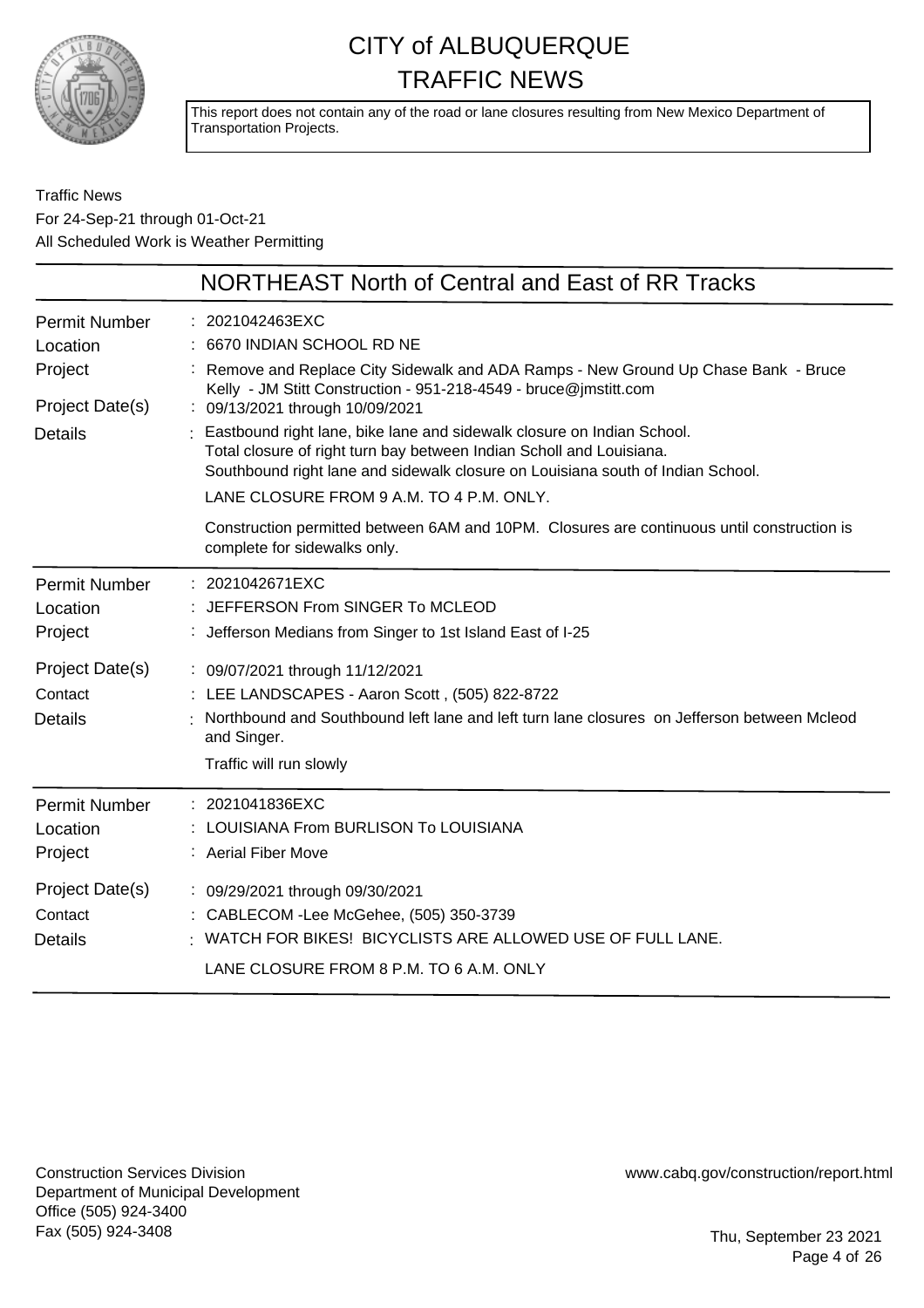

This report does not contain any of the road or lane closures resulting from New Mexico Department of Transportation Projects.

Traffic News For 24-Sep-21 through 01-Oct-21 All Scheduled Work is Weather Permitting

|                                                                                  | NORTHEAST North of Central and East of RR Tracks                                                                                                                                                                                                                                                                                                                                                                                                                                                                                                                                                                                                       |
|----------------------------------------------------------------------------------|--------------------------------------------------------------------------------------------------------------------------------------------------------------------------------------------------------------------------------------------------------------------------------------------------------------------------------------------------------------------------------------------------------------------------------------------------------------------------------------------------------------------------------------------------------------------------------------------------------------------------------------------------------|
| <b>Permit Number</b><br>Location<br>Project<br>Project Date(s)<br><b>Details</b> | : 2021042463EXC<br>6670 INDIAN SCHOOL RD NE<br>Remove and Replace City Sidewalk and ADA Ramps - New Ground Up Chase Bank - Bruce<br>Kelly - JM Stitt Construction - 951-218-4549 - bruce@jmstitt.com<br>: 09/13/2021 through 10/09/2021<br>Eastbound right lane, bike lane and sidewalk closure on Indian School.<br>Total closure of right turn bay between Indian Scholl and Louisiana.<br>Southbound right lane and sidewalk closure on Louisiana south of Indian School.<br>LANE CLOSURE FROM 9 A.M. TO 4 P.M. ONLY.<br>Construction permitted between 6AM and 10PM. Closures are continuous until construction is<br>complete for sidewalks only. |
| <b>Permit Number</b><br>Location<br>Project                                      | : 2021042671EXC<br>JEFFERSON From SINGER To MCLEOD<br>: Jefferson Medians from Singer to 1st Island East of I-25                                                                                                                                                                                                                                                                                                                                                                                                                                                                                                                                       |
| Project Date(s)<br>Contact<br><b>Details</b>                                     | : 09/07/2021 through 11/12/2021<br>: LEE LANDSCAPES - Aaron Scott, (505) 822-8722<br>Northbound and Southbound left lane and left turn lane closures on Jefferson between Mcleod<br>and Singer.<br>Traffic will run slowly                                                                                                                                                                                                                                                                                                                                                                                                                             |
| <b>Permit Number</b><br>Location<br>Project                                      | : 2021041836EXC<br>LOUISIANA From BURLISON To LOUISIANA<br>: Aerial Fiber Move                                                                                                                                                                                                                                                                                                                                                                                                                                                                                                                                                                         |
| Project Date(s)<br>Contact<br><b>Details</b>                                     | : 09/29/2021 through 09/30/2021<br>: CABLECOM - Lee McGehee, (505) 350-3739<br>: WATCH FOR BIKES! BICYCLISTS ARE ALLOWED USE OF FULL LANE.<br>LANE CLOSURE FROM 8 P.M. TO 6 A.M. ONLY                                                                                                                                                                                                                                                                                                                                                                                                                                                                  |

Construction Services Division Department of Municipal Development Office (505) 924-3400 Fax (505) 924-3408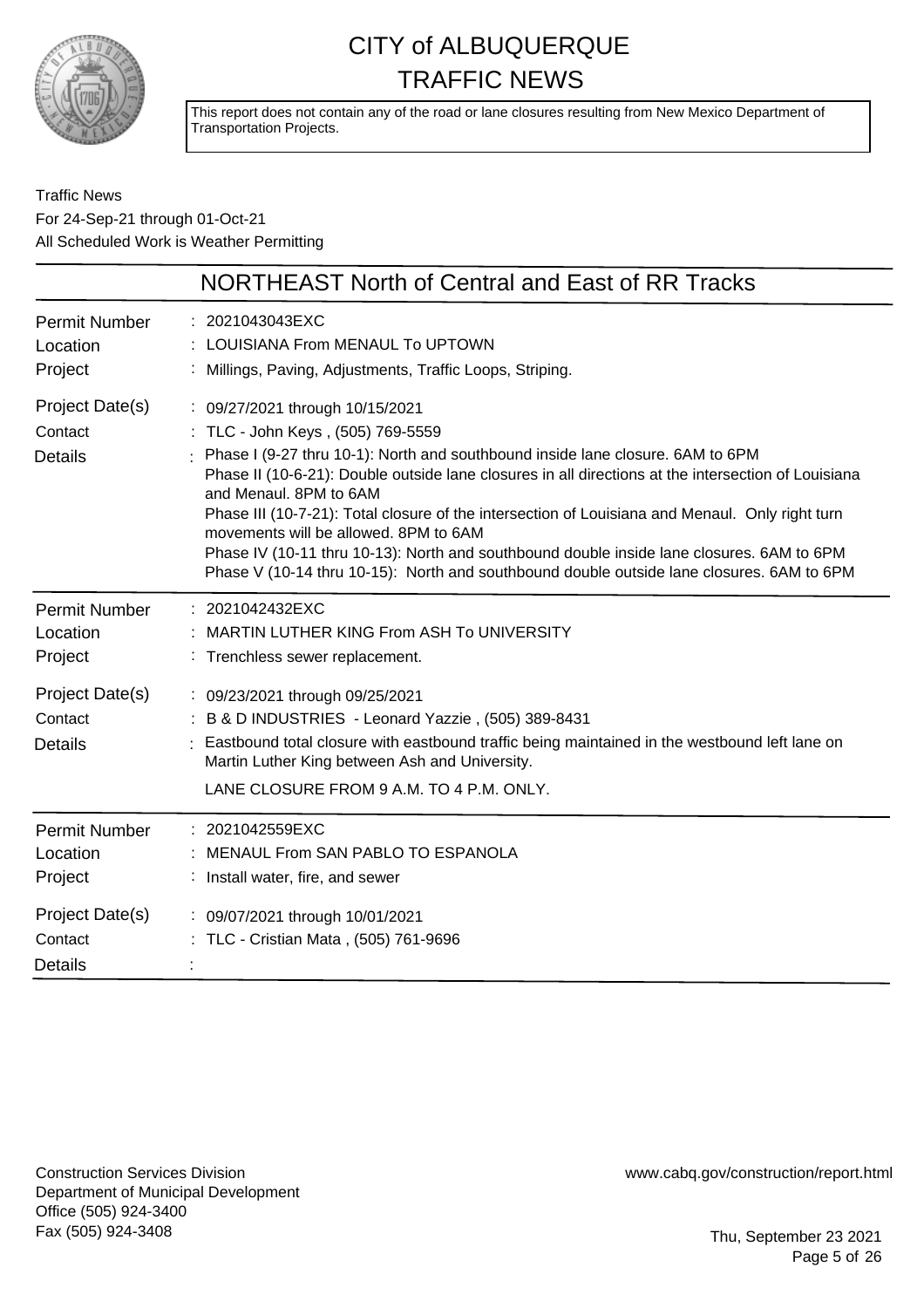

This report does not contain any of the road or lane closures resulting from New Mexico Department of Transportation Projects.

### Traffic News For 24-Sep-21 through 01-Oct-21 All Scheduled Work is Weather Permitting

|                                                                | <b>NORTHEAST North of Central and East of RR Tracks</b>                                                                                                                                                                                                                                                                                                                                                                                                                                                                                                                                                                         |
|----------------------------------------------------------------|---------------------------------------------------------------------------------------------------------------------------------------------------------------------------------------------------------------------------------------------------------------------------------------------------------------------------------------------------------------------------------------------------------------------------------------------------------------------------------------------------------------------------------------------------------------------------------------------------------------------------------|
| <b>Permit Number</b><br>Location<br>Project                    | : 2021043043EXC<br>: LOUISIANA From MENAUL To UPTOWN<br>: Millings, Paving, Adjustments, Traffic Loops, Striping.                                                                                                                                                                                                                                                                                                                                                                                                                                                                                                               |
| Project Date(s)<br>Contact<br><b>Details</b>                   | : 09/27/2021 through 10/15/2021<br>: TLC - John Keys, (505) 769-5559<br>: Phase I (9-27 thru 10-1): North and southbound inside lane closure. 6AM to 6PM<br>Phase II (10-6-21): Double outside lane closures in all directions at the intersection of Louisiana<br>and Menaul, 8PM to 6AM<br>Phase III (10-7-21): Total closure of the intersection of Louisiana and Menaul. Only right turn<br>movements will be allowed. 8PM to 6AM<br>Phase IV (10-11 thru 10-13): North and southbound double inside lane closures. 6AM to 6PM<br>Phase V (10-14 thru 10-15): North and southbound double outside lane closures. 6AM to 6PM |
| <b>Permit Number</b><br>Location<br>Project                    | : 2021042432EXC<br>MARTIN LUTHER KING From ASH To UNIVERSITY<br>: Trenchless sewer replacement.                                                                                                                                                                                                                                                                                                                                                                                                                                                                                                                                 |
| Project Date(s)<br>Contact<br><b>Details</b>                   | : 09/23/2021 through 09/25/2021<br>: B & D INDUSTRIES - Leonard Yazzie, (505) 389-8431<br>: Eastbound total closure with eastbound traffic being maintained in the westbound left lane on<br>Martin Luther King between Ash and University.<br>LANE CLOSURE FROM 9 A.M. TO 4 P.M. ONLY.                                                                                                                                                                                                                                                                                                                                         |
| <b>Permit Number</b><br>Location<br>Project<br>Project Date(s) | : 2021042559EXC<br>: MENAUL From SAN PABLO TO ESPANOLA<br>: Install water, fire, and sewer<br>: 09/07/2021 through 10/01/2021                                                                                                                                                                                                                                                                                                                                                                                                                                                                                                   |
| Contact<br><b>Details</b>                                      | : TLC - Cristian Mata, (505) 761-9696                                                                                                                                                                                                                                                                                                                                                                                                                                                                                                                                                                                           |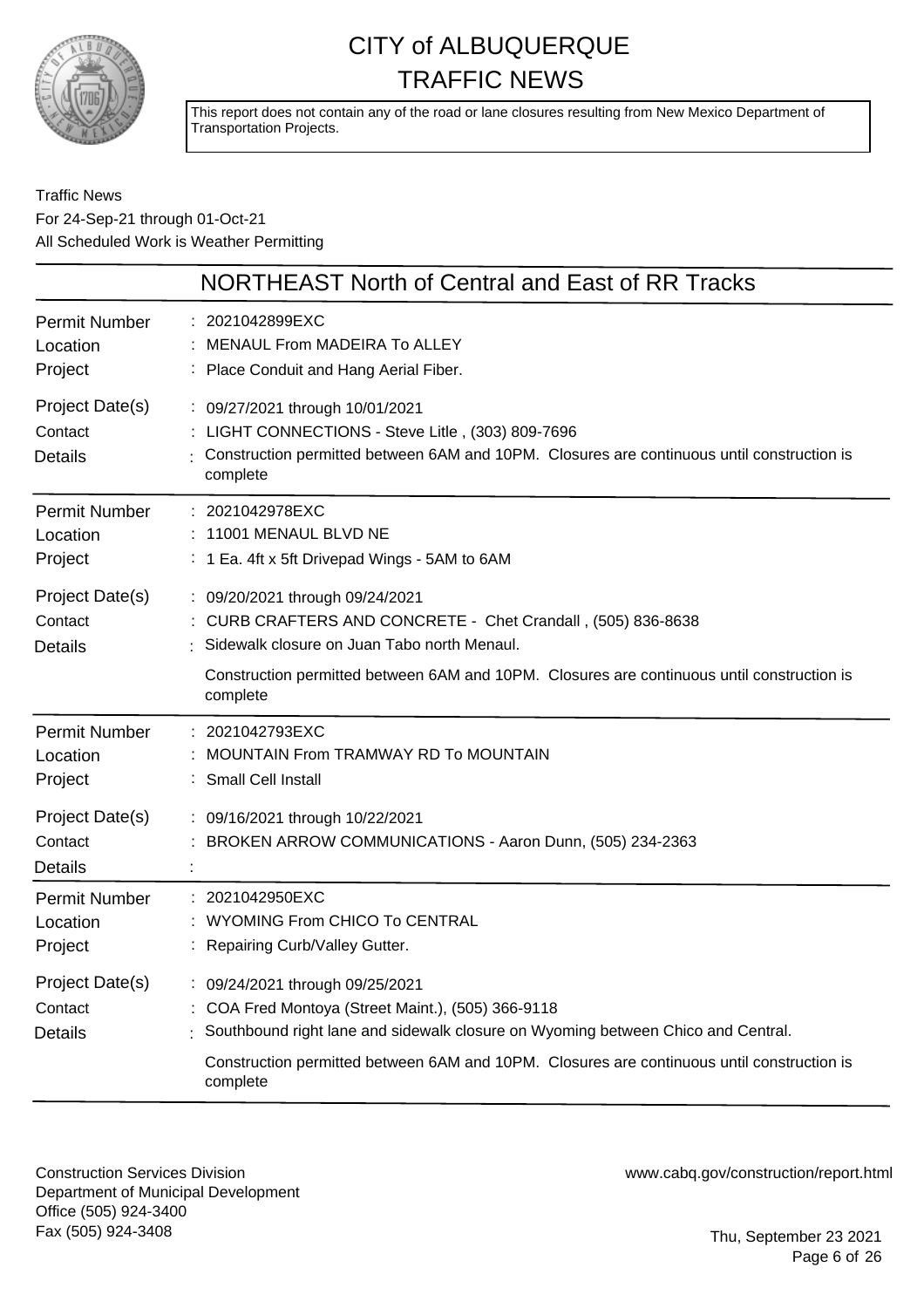

This report does not contain any of the road or lane closures resulting from New Mexico Department of Transportation Projects.

### Traffic News For 24-Sep-21 through 01-Oct-21 All Scheduled Work is Weather Permitting

|                                              | NORTHEAST North of Central and East of RR Tracks                                                                                                                                                                                                                                    |
|----------------------------------------------|-------------------------------------------------------------------------------------------------------------------------------------------------------------------------------------------------------------------------------------------------------------------------------------|
| Permit Number<br>Location<br>Project         | : 2021042899EXC<br>MENAUL From MADEIRA To ALLEY<br>: Place Conduit and Hang Aerial Fiber.                                                                                                                                                                                           |
| Project Date(s)<br>Contact<br><b>Details</b> | : 09/27/2021 through 10/01/2021<br>: LIGHT CONNECTIONS - Steve Litle, (303) 809-7696<br>Construction permitted between 6AM and 10PM. Closures are continuous until construction is<br>complete                                                                                      |
| Permit Number<br>Location<br>Project         | : 2021042978EXC<br>11001 MENAUL BLVD NE<br>: 1 Ea. 4ft x 5ft Drivepad Wings - 5AM to 6AM                                                                                                                                                                                            |
| Project Date(s)<br>Contact<br><b>Details</b> | : 09/20/2021 through 09/24/2021<br>: CURB CRAFTERS AND CONCRETE - Chet Crandall, (505) 836-8638<br>Sidewalk closure on Juan Tabo north Menaul.<br>Construction permitted between 6AM and 10PM. Closures are continuous until construction is<br>complete                            |
| <b>Permit Number</b><br>Location<br>Project  | : 2021042793EXC<br><b>MOUNTAIN From TRAMWAY RD To MOUNTAIN</b><br>: Small Cell Install                                                                                                                                                                                              |
| Project Date(s)<br>Contact<br><b>Details</b> | : 09/16/2021 through 10/22/2021<br>: BROKEN ARROW COMMUNICATIONS - Aaron Dunn, (505) 234-2363                                                                                                                                                                                       |
| Permit Number<br>Location<br>Project         | : 2021042950EXC<br><b>WYOMING From CHICO To CENTRAL</b><br>: Repairing Curb/Valley Gutter.                                                                                                                                                                                          |
| Project Date(s)<br>Contact<br><b>Details</b> | : 09/24/2021 through 09/25/2021<br>COA Fred Montoya (Street Maint.), (505) 366-9118<br>: Southbound right lane and sidewalk closure on Wyoming between Chico and Central.<br>Construction permitted between 6AM and 10PM. Closures are continuous until construction is<br>complete |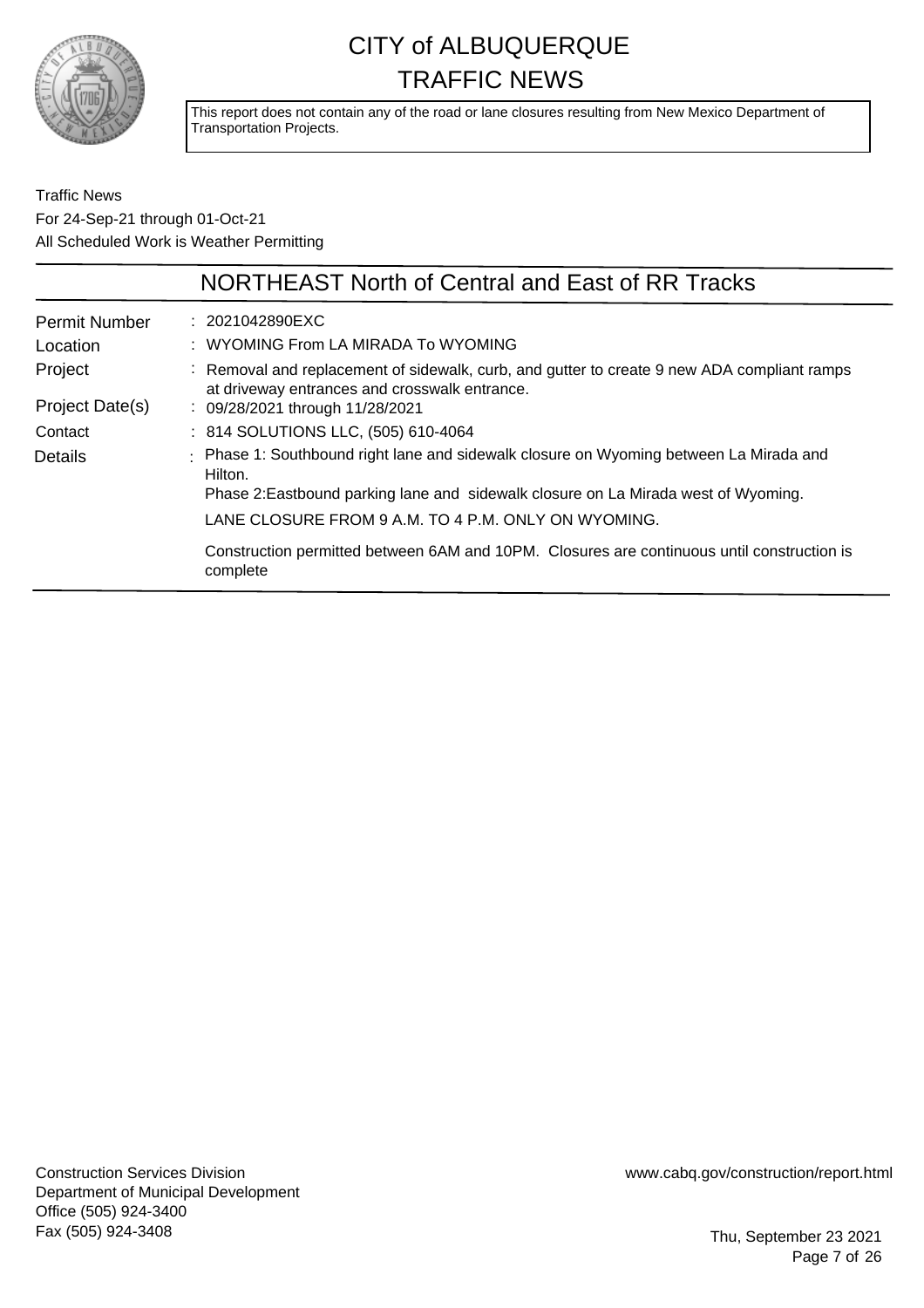

This report does not contain any of the road or lane closures resulting from New Mexico Department of Transportation Projects.

Traffic News For 24-Sep-21 through 01-Oct-21 All Scheduled Work is Weather Permitting

|                      | NORTHEAST North of Central and East of RR Tracks                                                                                             |
|----------------------|----------------------------------------------------------------------------------------------------------------------------------------------|
| <b>Permit Number</b> | $: 2021042890$ EXC                                                                                                                           |
| Location             | : WYOMING From LA MIRADA To WYOMING                                                                                                          |
| Project              | : Removal and replacement of sidewalk, curb, and gutter to create 9 new ADA compliant ramps<br>at driveway entrances and crosswalk entrance. |
| Project Date(s)      | : 09/28/2021 through 11/28/2021                                                                                                              |
| Contact              | : 814 SOLUTIONS LLC, (505) 610-4064                                                                                                          |
| Details              | : Phase 1: Southbound right lane and sidewalk closure on Wyoming between La Mirada and<br>Hilton.                                            |
|                      | Phase 2: Eastbound parking lane and sidewalk closure on La Mirada west of Wyoming.                                                           |
|                      | LANE CLOSURE FROM 9 A.M. TO 4 P.M. ONLY ON WYOMING.                                                                                          |
|                      | Construction permitted between 6AM and 10PM. Closures are continuous until construction is<br>complete                                       |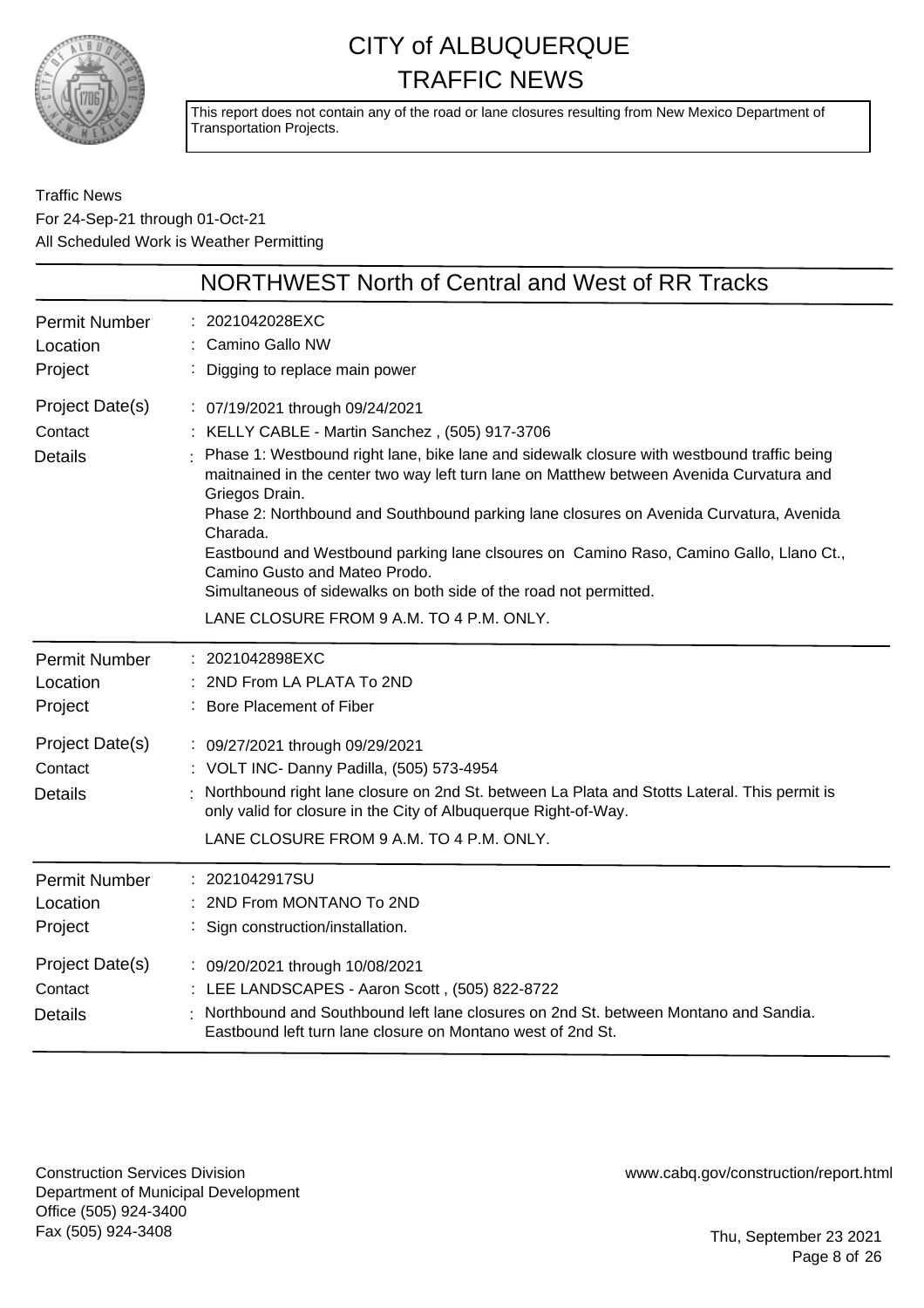

This report does not contain any of the road or lane closures resulting from New Mexico Department of Transportation Projects.

Traffic News For 24-Sep-21 through 01-Oct-21 All Scheduled Work is Weather Permitting

|                                              | NORTHWEST North of Central and West of RR Tracks                                                                                                                                                                                                                                                                                                                                                                                                                                                                                                                                                                                                |
|----------------------------------------------|-------------------------------------------------------------------------------------------------------------------------------------------------------------------------------------------------------------------------------------------------------------------------------------------------------------------------------------------------------------------------------------------------------------------------------------------------------------------------------------------------------------------------------------------------------------------------------------------------------------------------------------------------|
| <b>Permit Number</b><br>Location<br>Project  | 2021042028EXC<br>Camino Gallo NW<br>Digging to replace main power                                                                                                                                                                                                                                                                                                                                                                                                                                                                                                                                                                               |
| Project Date(s)<br>Contact<br><b>Details</b> | : 07/19/2021 through 09/24/2021<br>: KELLY CABLE - Martin Sanchez, (505) 917-3706<br>Phase 1: Westbound right lane, bike lane and sidewalk closure with westbound traffic being<br>maitnained in the center two way left turn lane on Matthew between Avenida Curvatura and<br>Griegos Drain.<br>Phase 2: Northbound and Southbound parking lane closures on Avenida Curvatura, Avenida<br>Charada.<br>Eastbound and Westbound parking lane clsoures on Camino Raso, Camino Gallo, Llano Ct.,<br>Camino Gusto and Mateo Prodo.<br>Simultaneous of sidewalks on both side of the road not permitted.<br>LANE CLOSURE FROM 9 A.M. TO 4 P.M. ONLY. |
| <b>Permit Number</b><br>Location<br>Project  | : 2021042898EXC<br>2ND From LA PLATA To 2ND<br>: Bore Placement of Fiber                                                                                                                                                                                                                                                                                                                                                                                                                                                                                                                                                                        |
| Project Date(s)<br>Contact<br><b>Details</b> | : 09/27/2021 through 09/29/2021<br>: VOLT INC- Danny Padilla, (505) 573-4954<br>Northbound right lane closure on 2nd St. between La Plata and Stotts Lateral. This permit is<br>only valid for closure in the City of Albuquerque Right-of-Way.<br>LANE CLOSURE FROM 9 A.M. TO 4 P.M. ONLY.                                                                                                                                                                                                                                                                                                                                                     |
| <b>Permit Number</b><br>Location<br>Project  | : 2021042917SU<br>: 2ND From MONTANO To 2ND<br>Sign construction/installation.                                                                                                                                                                                                                                                                                                                                                                                                                                                                                                                                                                  |
| Project Date(s)<br>Contact<br><b>Details</b> | : 09/20/2021 through 10/08/2021<br>: LEE LANDSCAPES - Aaron Scott, (505) 822-8722<br>Northbound and Southbound left lane closures on 2nd St. between Montano and Sandia.<br>Eastbound left turn lane closure on Montano west of 2nd St.                                                                                                                                                                                                                                                                                                                                                                                                         |

Construction Services Division Department of Municipal Development Office (505) 924-3400 Fax (505) 924-3408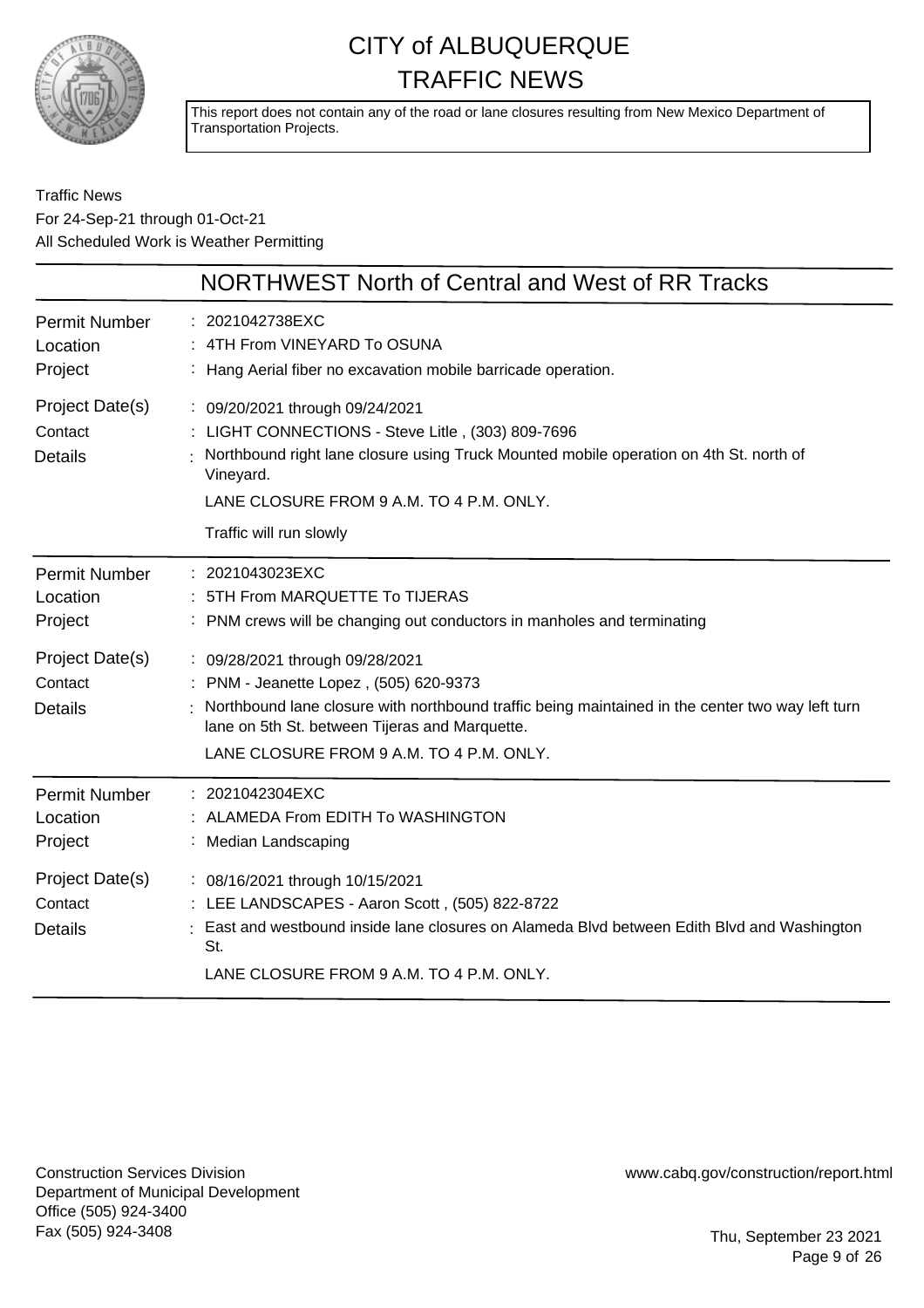

This report does not contain any of the road or lane closures resulting from New Mexico Department of Transportation Projects.

### Traffic News For 24-Sep-21 through 01-Oct-21 All Scheduled Work is Weather Permitting

|                                                                                             | NORTHWEST North of Central and West of RR Tracks                                                                                                                                                                                                                                                               |
|---------------------------------------------------------------------------------------------|----------------------------------------------------------------------------------------------------------------------------------------------------------------------------------------------------------------------------------------------------------------------------------------------------------------|
| <b>Permit Number</b><br>Location<br>Project                                                 | : 2021042738EXC<br>4TH From VINEYARD To OSUNA<br>Hang Aerial fiber no excavation mobile barricade operation.                                                                                                                                                                                                   |
| Project Date(s)<br>Contact<br><b>Details</b>                                                | : 09/20/2021 through 09/24/2021<br>LIGHT CONNECTIONS - Steve Litle, (303) 809-7696<br>Northbound right lane closure using Truck Mounted mobile operation on 4th St. north of<br>Vineyard.<br>LANE CLOSURE FROM 9 A.M. TO 4 P.M. ONLY.<br>Traffic will run slowly                                               |
| <b>Permit Number</b><br>Location<br>Project                                                 | : 2021043023EXC<br>5TH From MARQUETTE To TIJERAS<br>PNM crews will be changing out conductors in manholes and terminating                                                                                                                                                                                      |
| Project Date(s)<br>Contact<br><b>Details</b>                                                | : 09/28/2021 through 09/28/2021<br>: PNM - Jeanette Lopez, (505) 620-9373<br>Northbound lane closure with northbound traffic being maintained in the center two way left turn<br>lane on 5th St. between Tijeras and Marquette.<br>LANE CLOSURE FROM 9 A.M. TO 4 P.M. ONLY.                                    |
| <b>Permit Number</b><br>Location<br>Project<br>Project Date(s)<br>Contact<br><b>Details</b> | : 2021042304EXC<br>ALAMEDA From EDITH To WASHINGTON<br>Median Landscaping<br>: 08/16/2021 through 10/15/2021<br>: LEE LANDSCAPES - Aaron Scott, (505) 822-8722<br>East and westbound inside lane closures on Alameda Blvd between Edith Blvd and Washington<br>St.<br>LANE CLOSURE FROM 9 A.M. TO 4 P.M. ONLY. |
|                                                                                             |                                                                                                                                                                                                                                                                                                                |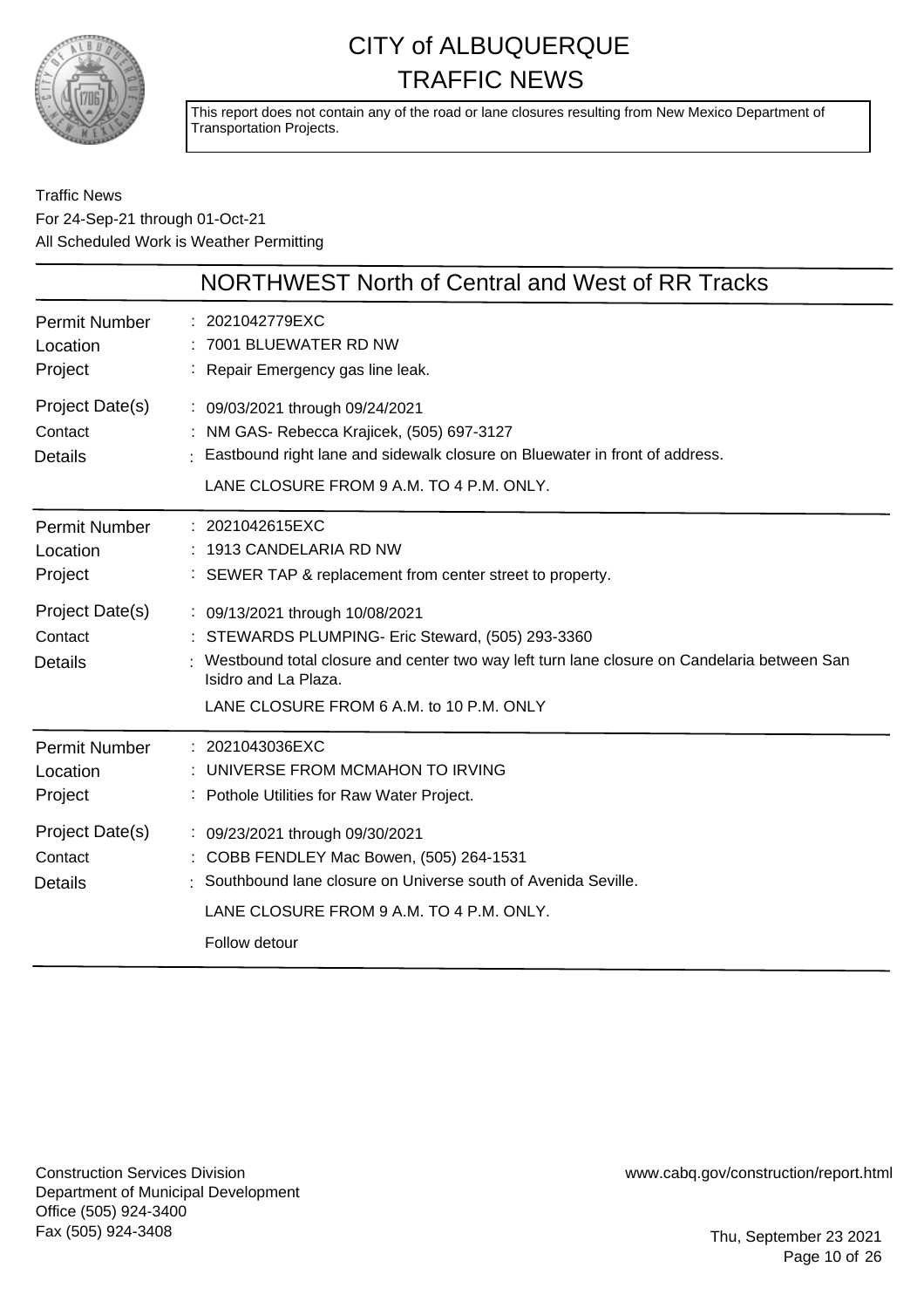

This report does not contain any of the road or lane closures resulting from New Mexico Department of Transportation Projects.

Traffic News For 24-Sep-21 through 01-Oct-21 All Scheduled Work is Weather Permitting

|                                              | NORTHWEST North of Central and West of RR Tracks                                                                                                                                                                                                        |
|----------------------------------------------|---------------------------------------------------------------------------------------------------------------------------------------------------------------------------------------------------------------------------------------------------------|
| <b>Permit Number</b><br>Location<br>Project  | : 2021042779EXC<br>: 7001 BLUEWATER RD NW<br>: Repair Emergency gas line leak.                                                                                                                                                                          |
| Project Date(s)<br>Contact<br><b>Details</b> | : 09/03/2021 through 09/24/2021<br>: NM GAS- Rebecca Krajicek, (505) 697-3127<br>Eastbound right lane and sidewalk closure on Bluewater in front of address.<br>LANE CLOSURE FROM 9 A.M. TO 4 P.M. ONLY.                                                |
| Permit Number<br>Location<br>Project         | : 2021042615EXC<br>: 1913 CANDELARIA RD NW<br>: SEWER TAP & replacement from center street to property.                                                                                                                                                 |
| Project Date(s)<br>Contact<br><b>Details</b> | : 09/13/2021 through 10/08/2021<br>: STEWARDS PLUMPING- Eric Steward, (505) 293-3360<br>Westbound total closure and center two way left turn lane closure on Candelaria between San<br>Isidro and La Plaza.<br>LANE CLOSURE FROM 6 A.M. to 10 P.M. ONLY |
| Permit Number<br>Location<br>Project         | : 2021043036EXC<br>UNIVERSE FROM MCMAHON TO IRVING<br>: Pothole Utilities for Raw Water Project.                                                                                                                                                        |
| Project Date(s)<br>Contact<br><b>Details</b> | : 09/23/2021 through 09/30/2021<br>: COBB FENDLEY Mac Bowen, (505) 264-1531<br>Southbound lane closure on Universe south of Avenida Seville.<br>LANE CLOSURE FROM 9 A.M. TO 4 P.M. ONLY.<br>Follow detour                                               |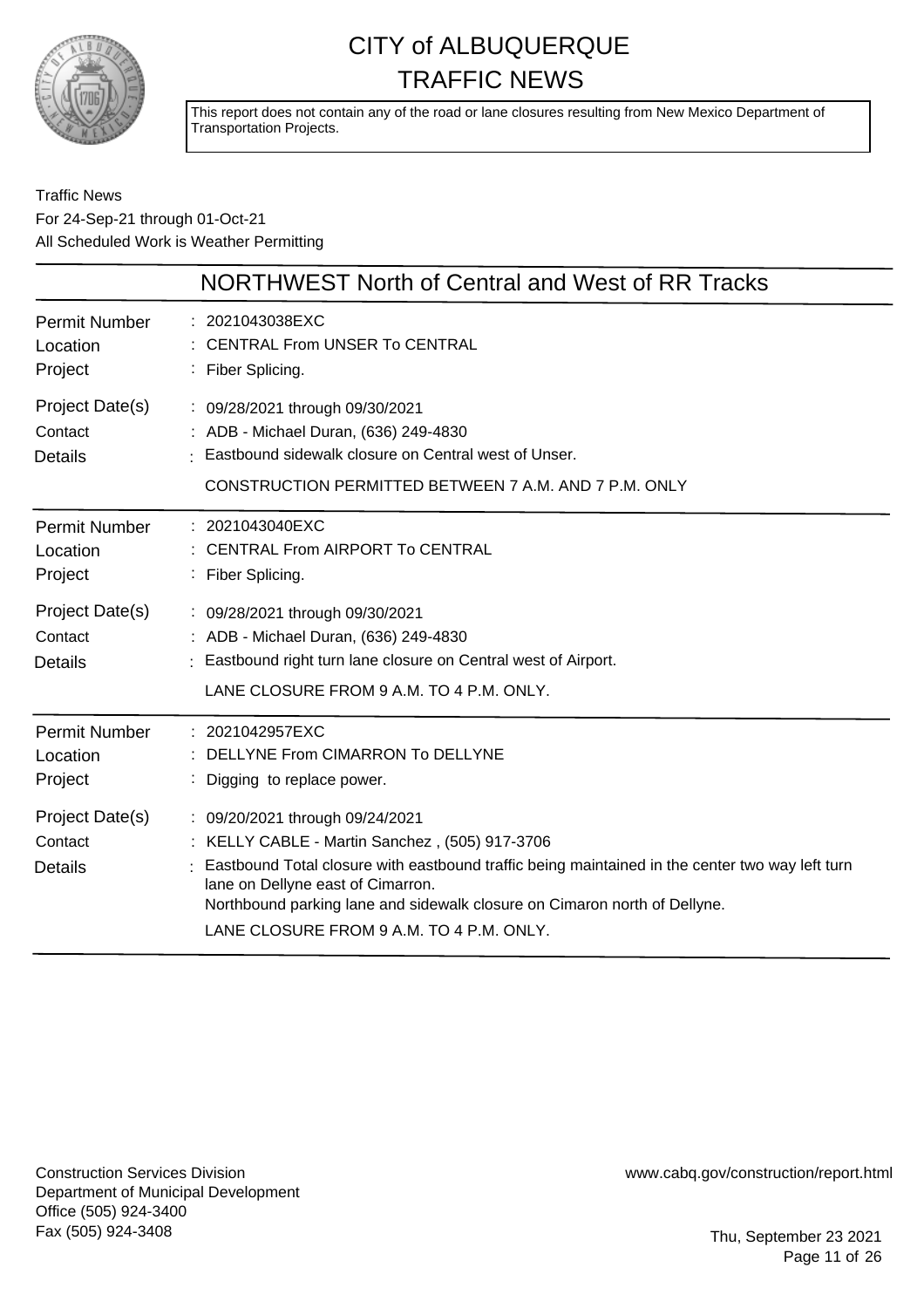

This report does not contain any of the road or lane closures resulting from New Mexico Department of Transportation Projects.

### Traffic News For 24-Sep-21 through 01-Oct-21 All Scheduled Work is Weather Permitting

|                                              | NORTHWEST North of Central and West of RR Tracks                                                                                                                                                                                                                                                                                                   |
|----------------------------------------------|----------------------------------------------------------------------------------------------------------------------------------------------------------------------------------------------------------------------------------------------------------------------------------------------------------------------------------------------------|
| <b>Permit Number</b><br>Location<br>Project  | : 2021043038EXC<br>: CENTRAL From UNSER To CENTRAL<br>: Fiber Splicing.                                                                                                                                                                                                                                                                            |
| Project Date(s)<br>Contact<br><b>Details</b> | : 09/28/2021 through 09/30/2021<br>: ADB - Michael Duran, (636) 249-4830<br>Eastbound sidewalk closure on Central west of Unser.<br>CONSTRUCTION PERMITTED BETWEEN 7 A.M. AND 7 P.M. ONLY                                                                                                                                                          |
| <b>Permit Number</b><br>Location<br>Project  | : 2021043040EXC<br><b>CENTRAL From AIRPORT To CENTRAL</b><br>: Fiber Splicing.                                                                                                                                                                                                                                                                     |
| Project Date(s)<br>Contact<br><b>Details</b> | : 09/28/2021 through 09/30/2021<br>: ADB - Michael Duran, (636) 249-4830<br>: Eastbound right turn lane closure on Central west of Airport.<br>LANE CLOSURE FROM 9 A.M. TO 4 P.M. ONLY.                                                                                                                                                            |
| <b>Permit Number</b><br>Location<br>Project  | : 2021042957EXC<br>DELLYNE From CIMARRON To DELLYNE<br>Digging to replace power.                                                                                                                                                                                                                                                                   |
| Project Date(s)<br>Contact<br><b>Details</b> | : 09/20/2021 through 09/24/2021<br>: KELLY CABLE - Martin Sanchez, (505) 917-3706<br>Eastbound Total closure with eastbound traffic being maintained in the center two way left turn<br>lane on Dellyne east of Cimarron.<br>Northbound parking lane and sidewalk closure on Cimaron north of Dellyne.<br>LANE CLOSURE FROM 9 A.M. TO 4 P.M. ONLY. |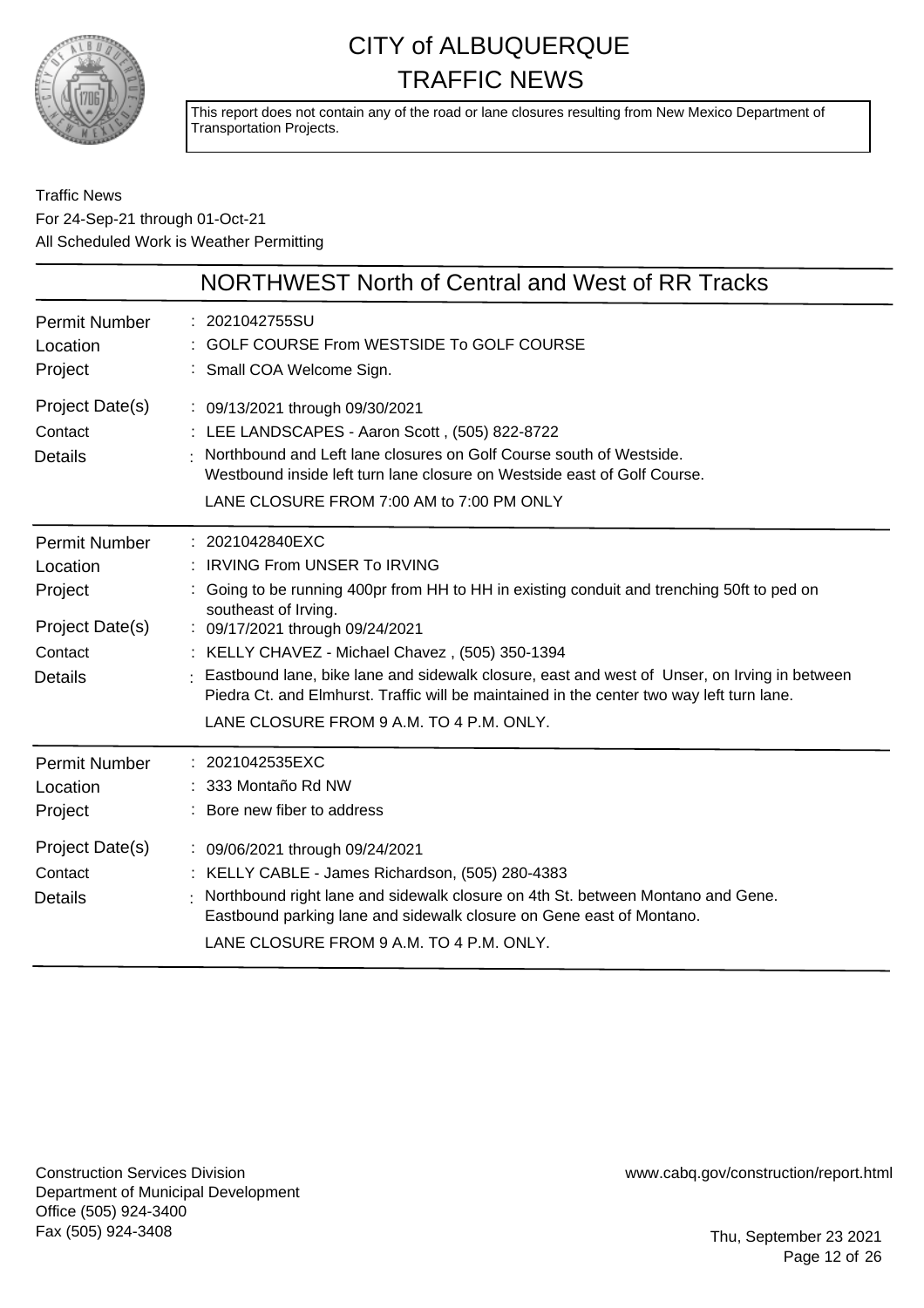

This report does not contain any of the road or lane closures resulting from New Mexico Department of Transportation Projects.

### Traffic News For 24-Sep-21 through 01-Oct-21 All Scheduled Work is Weather Permitting

|                                                                                             | NORTHWEST North of Central and West of RR Tracks                                                                                                                                                                                                                                                                                                                                                                                                                                                      |
|---------------------------------------------------------------------------------------------|-------------------------------------------------------------------------------------------------------------------------------------------------------------------------------------------------------------------------------------------------------------------------------------------------------------------------------------------------------------------------------------------------------------------------------------------------------------------------------------------------------|
| Permit Number<br>Location<br>Project                                                        | : 2021042755SU<br>: GOLF COURSE From WESTSIDE To GOLF COURSE<br>: Small COA Welcome Sign.                                                                                                                                                                                                                                                                                                                                                                                                             |
| Project Date(s)<br>Contact<br><b>Details</b>                                                | : 09/13/2021 through 09/30/2021<br>: LEE LANDSCAPES - Aaron Scott, (505) 822-8722<br>Northbound and Left lane closures on Golf Course south of Westside.<br>Westbound inside left turn lane closure on Westside east of Golf Course.<br>LANE CLOSURE FROM 7:00 AM to 7:00 PM ONLY                                                                                                                                                                                                                     |
| <b>Permit Number</b><br>Location<br>Project<br>Project Date(s)<br>Contact<br><b>Details</b> | : 2021042840EXC<br>: IRVING From UNSER To IRVING<br>: Going to be running 400pr from HH to HH in existing conduit and trenching 50ft to ped on<br>southeast of Irving.<br>: 09/17/2021 through 09/24/2021<br>: KELLY CHAVEZ - Michael Chavez, (505) 350-1394<br>Eastbound lane, bike lane and sidewalk closure, east and west of Unser, on Irving in between<br>Piedra Ct. and Elmhurst. Traffic will be maintained in the center two way left turn lane.<br>LANE CLOSURE FROM 9 A.M. TO 4 P.M. ONLY. |
| <b>Permit Number</b><br>Location<br>Project                                                 | : 2021042535EXC<br>333 Montaño Rd NW<br>: Bore new fiber to address                                                                                                                                                                                                                                                                                                                                                                                                                                   |
| Project Date(s)<br>Contact<br><b>Details</b>                                                | : 09/06/2021 through 09/24/2021<br>: KELLY CABLE - James Richardson, (505) 280-4383<br>Northbound right lane and sidewalk closure on 4th St. between Montano and Gene.<br>Eastbound parking lane and sidewalk closure on Gene east of Montano.<br>LANE CLOSURE FROM 9 A.M. TO 4 P.M. ONLY.                                                                                                                                                                                                            |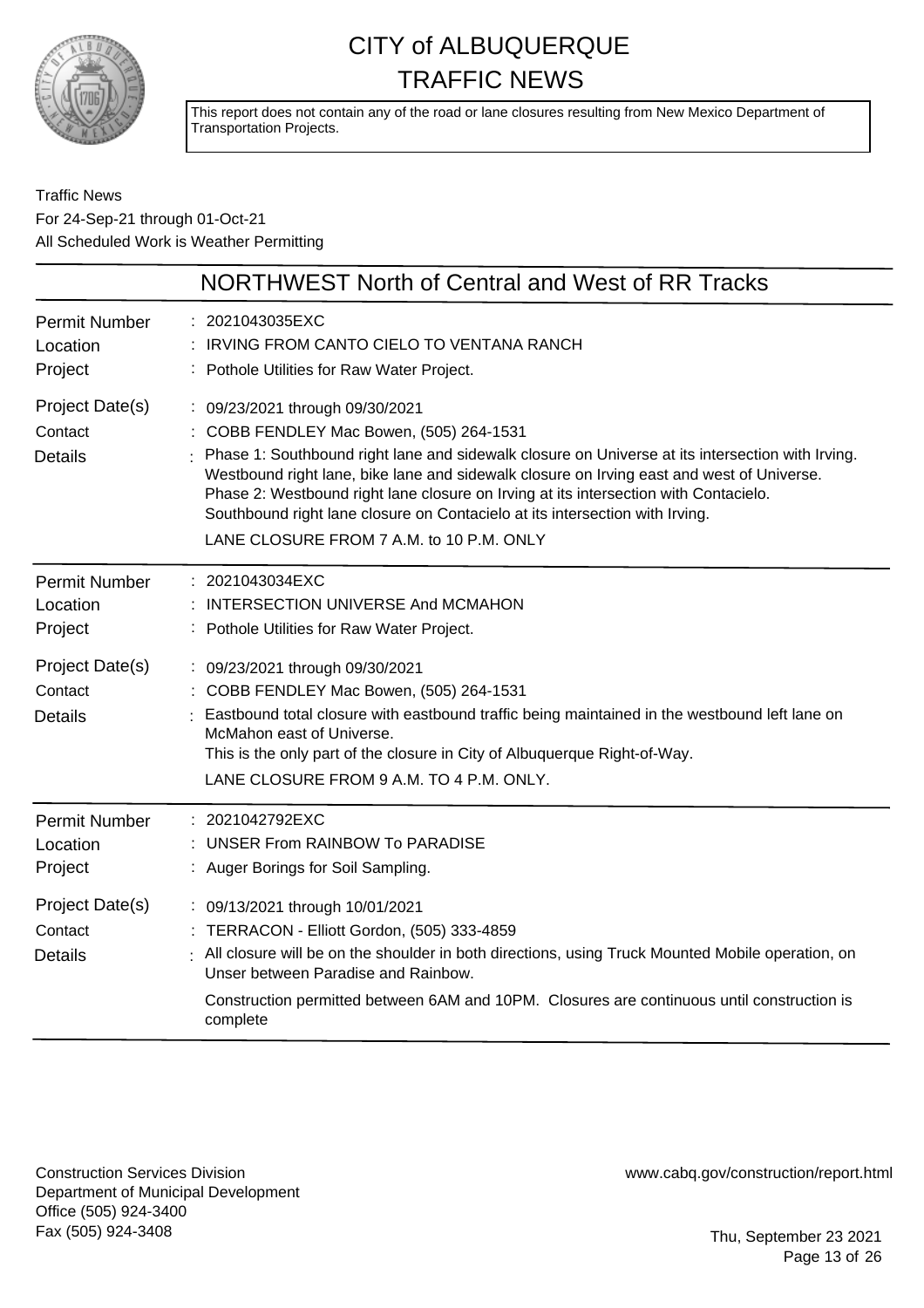

This report does not contain any of the road or lane closures resulting from New Mexico Department of Transportation Projects.

### Traffic News For 24-Sep-21 through 01-Oct-21 All Scheduled Work is Weather Permitting

|                                              | NORTHWEST North of Central and West of RR Tracks                                                                                                                                                                                                                                                                                                                                                                                                                                               |
|----------------------------------------------|------------------------------------------------------------------------------------------------------------------------------------------------------------------------------------------------------------------------------------------------------------------------------------------------------------------------------------------------------------------------------------------------------------------------------------------------------------------------------------------------|
| <b>Permit Number</b><br>Location<br>Project  | 2021043035EXC<br>IRVING FROM CANTO CIELO TO VENTANA RANCH<br>Pothole Utilities for Raw Water Project.                                                                                                                                                                                                                                                                                                                                                                                          |
| Project Date(s)<br>Contact<br><b>Details</b> | : 09/23/2021 through 09/30/2021<br>COBB FENDLEY Mac Bowen, (505) 264-1531<br>Phase 1: Southbound right lane and sidewalk closure on Universe at its intersection with Irving.<br>Westbound right lane, bike lane and sidewalk closure on Irving east and west of Universe.<br>Phase 2: Westbound right lane closure on Irving at its intersection with Contacielo.<br>Southbound right lane closure on Contacielo at its intersection with Irving.<br>LANE CLOSURE FROM 7 A.M. to 10 P.M. ONLY |
| <b>Permit Number</b><br>Location<br>Project  | : 2021043034EXC<br>INTERSECTION UNIVERSE And MCMAHON<br>Pothole Utilities for Raw Water Project.                                                                                                                                                                                                                                                                                                                                                                                               |
| Project Date(s)<br>Contact<br><b>Details</b> | : 09/23/2021 through 09/30/2021<br>COBB FENDLEY Mac Bowen, (505) 264-1531<br>Eastbound total closure with eastbound traffic being maintained in the westbound left lane on<br>McMahon east of Universe.<br>This is the only part of the closure in City of Albuquerque Right-of-Way.<br>LANE CLOSURE FROM 9 A.M. TO 4 P.M. ONLY.                                                                                                                                                               |
| <b>Permit Number</b><br>Location<br>Project  | : 2021042792EXC<br><b>UNSER From RAINBOW To PARADISE</b><br>: Auger Borings for Soil Sampling.                                                                                                                                                                                                                                                                                                                                                                                                 |
| Project Date(s)<br>Contact<br><b>Details</b> | : 09/13/2021 through 10/01/2021<br>TERRACON - Elliott Gordon, (505) 333-4859<br>All closure will be on the shoulder in both directions, using Truck Mounted Mobile operation, on<br>Unser between Paradise and Rainbow.<br>Construction permitted between 6AM and 10PM. Closures are continuous until construction is<br>complete                                                                                                                                                              |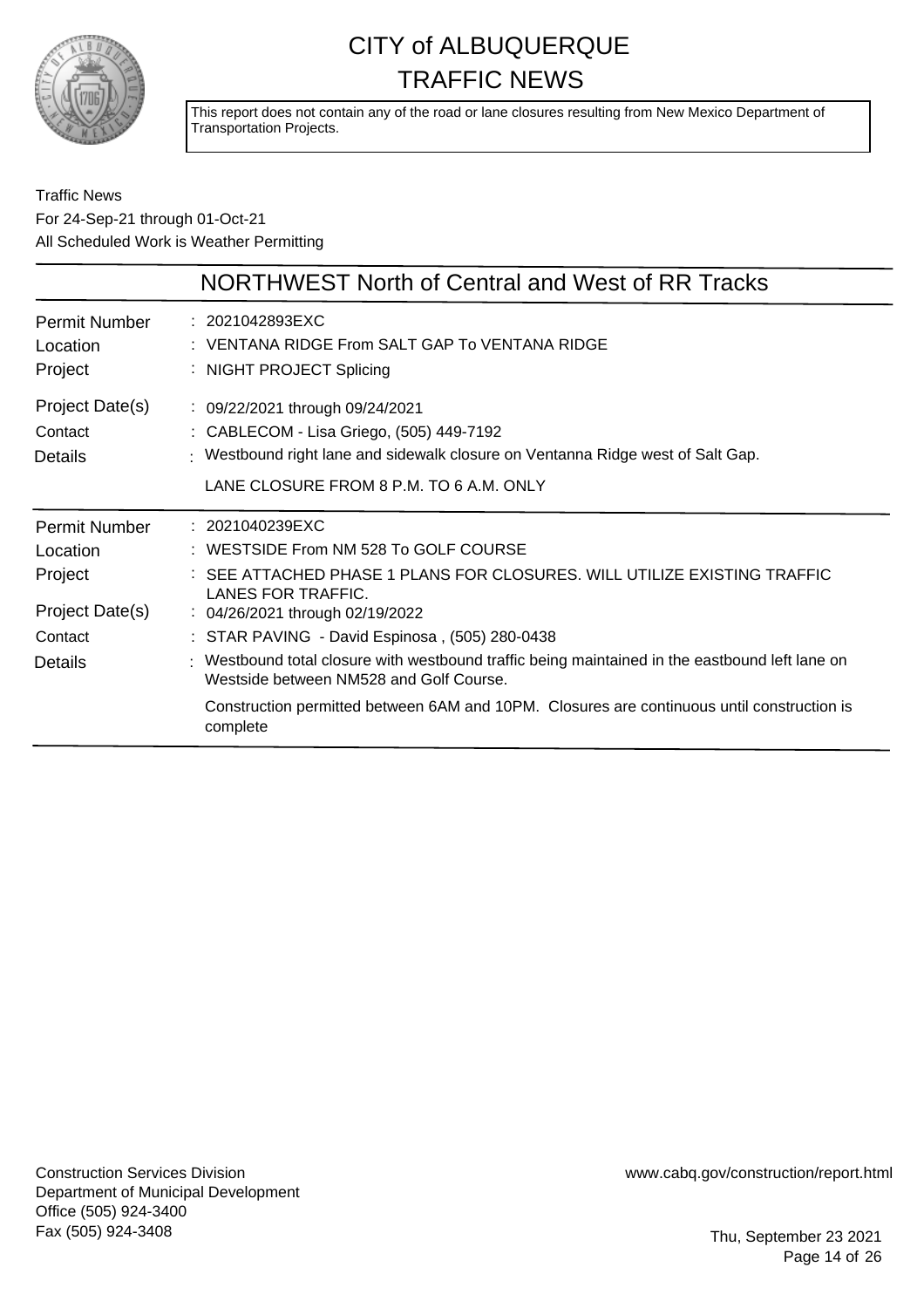

This report does not contain any of the road or lane closures resulting from New Mexico Department of Transportation Projects.

### Traffic News For 24-Sep-21 through 01-Oct-21 All Scheduled Work is Weather Permitting

|                                                                                      | NORTHWEST North of Central and West of RR Tracks                                                                                                                                                                                                                                                                                                                                                 |
|--------------------------------------------------------------------------------------|--------------------------------------------------------------------------------------------------------------------------------------------------------------------------------------------------------------------------------------------------------------------------------------------------------------------------------------------------------------------------------------------------|
| <b>Permit Number</b><br>Location<br>Project                                          | : 2021042893EXC<br>: VENTANA RIDGE From SALT GAP To VENTANA RIDGE<br>: NIGHT PROJECT Splicing                                                                                                                                                                                                                                                                                                    |
| Project Date(s)<br>Contact<br><b>Details</b>                                         | : 09/22/2021 through 09/24/2021<br>: CABLECOM - Lisa Griego, (505) 449-7192<br>: Westbound right lane and sidewalk closure on Ventanna Ridge west of Salt Gap.<br>LANE CLOSURE FROM 8 P.M. TO 6 A.M. ONLY                                                                                                                                                                                        |
| <b>Permit Number</b><br>Location<br>Project<br>Project Date(s)<br>Contact<br>Details | $: 2021040239$ EXC<br>: WESTSIDE From NM 528 To GOLF COURSE<br>: SEE ATTACHED PHASE 1 PLANS FOR CLOSURES. WILL UTILIZE EXISTING TRAFFIC<br>LANES FOR TRAFFIC.<br>: 04/26/2021 through 02/19/2022<br>: STAR PAVING - David Espinosa, (505) 280-0438<br>: Westbound total closure with westbound traffic being maintained in the eastbound left lane on<br>Westside between NM528 and Golf Course. |
|                                                                                      | Construction permitted between 6AM and 10PM. Closures are continuous until construction is<br>complete                                                                                                                                                                                                                                                                                           |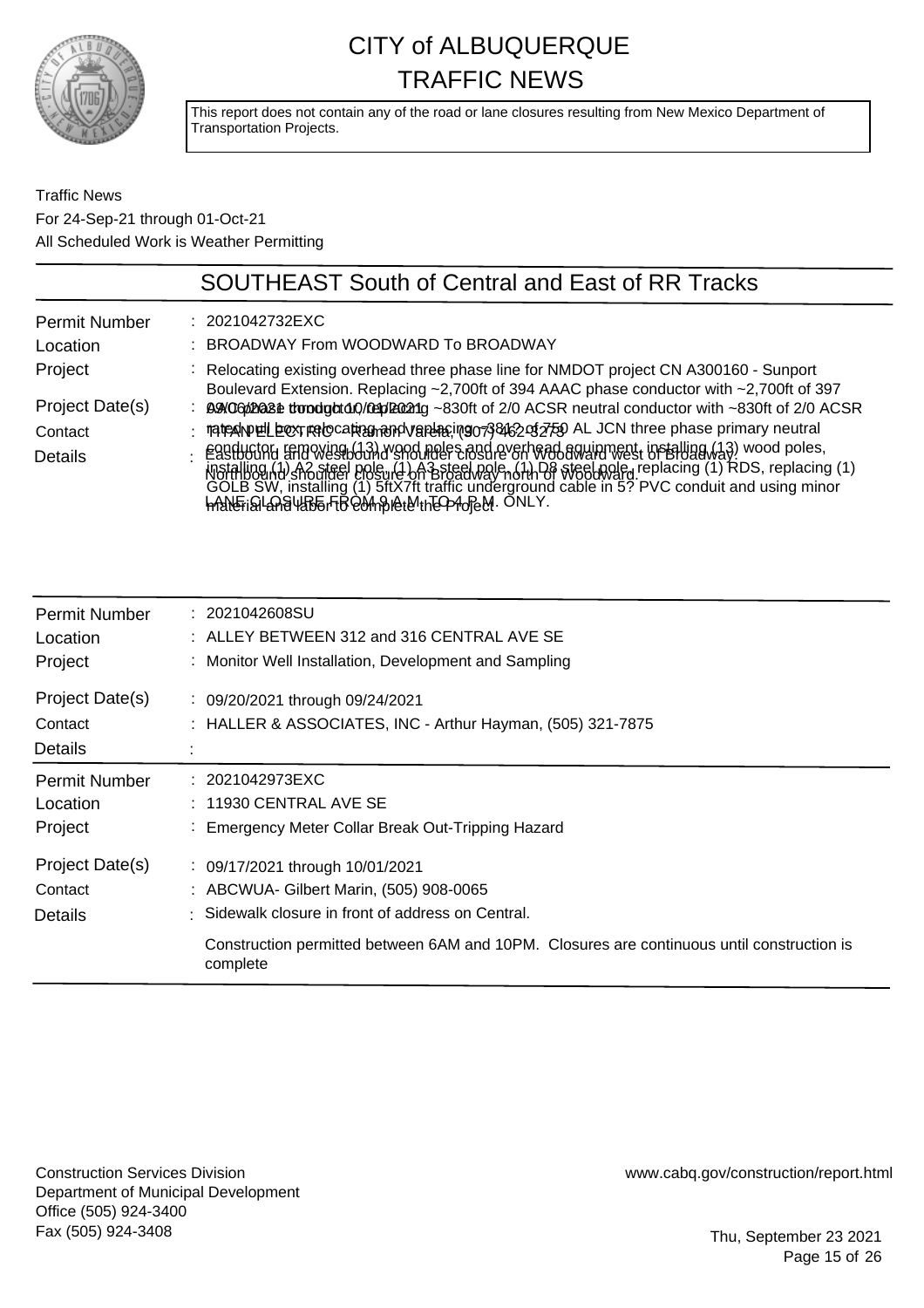

This report does not contain any of the road or lane closures resulting from New Mexico Department of Transportation Projects.

### Traffic News For 24-Sep-21 through 01-Oct-21 All Scheduled Work is Weather Permitting

|                      | <b>SOUTHEAST South of Central and East of RR Tracks</b>                                                                                                                                                                                                                             |
|----------------------|-------------------------------------------------------------------------------------------------------------------------------------------------------------------------------------------------------------------------------------------------------------------------------------|
| <b>Permit Number</b> | : 2021042732EXC                                                                                                                                                                                                                                                                     |
| Location             | : BROADWAY From WOODWARD To BROADWAY                                                                                                                                                                                                                                                |
| Project              | : Relocating existing overhead three phase line for NMDOT project CN A300160 - Sunport<br>Boulevard Extension. Replacing ~2,700ft of 394 AAAC phase conductor with ~2,700ft of 397                                                                                                  |
| Project Date(s)      | BAOGD2028 tropstody/09pl2021g ~830ft of 2/0 ACSR neutral conductor with ~830ft of 2/0 ACSR                                                                                                                                                                                          |
| Contact              | : mate alwell box redocation and variating or 38162 of 759 AL JCN three phase primary neutral                                                                                                                                                                                       |
| Details              | Eggductory removing (13) wood poles and overhead aquipment, installing (13) wood poles,<br>MStalling hd shorteel Polsuid on Britanne of the State of Wabaward west of Broadway RDS, replacing (1)<br>GOLB SW, installing (1) 5ftX7ft<br>handFistLanaU&B6rFBQUnBIQtUnEO210FeM. ONLY. |

| <b>Permit Number</b>                         | : 2021042608SU                                                                                                                                                                                                                           |
|----------------------------------------------|------------------------------------------------------------------------------------------------------------------------------------------------------------------------------------------------------------------------------------------|
| Location                                     | $:$ ALLEY BETWEEN 312 and 316 CENTRAL AVE SE                                                                                                                                                                                             |
| Project                                      | : Monitor Well Installation, Development and Sampling                                                                                                                                                                                    |
| Project Date(s)<br>Contact<br>Details        | : 09/20/2021 through 09/24/2021<br>: HALLER & ASSOCIATES, INC - Arthur Hayman, (505) 321-7875                                                                                                                                            |
| <b>Permit Number</b>                         | : 2021042973EXC                                                                                                                                                                                                                          |
| Location                                     | $: 11930$ CENTRAL AVE SE                                                                                                                                                                                                                 |
| Project                                      | : Emergency Meter Collar Break Out-Tripping Hazard                                                                                                                                                                                       |
| Project Date(s)<br>Contact<br><b>Details</b> | : 09/17/2021 through 10/01/2021<br>: ABCWUA- Gilbert Marin, (505) 908-0065<br>Sidewalk closure in front of address on Central.<br>Construction permitted between 6AM and 10PM. Closures are continuous until construction is<br>complete |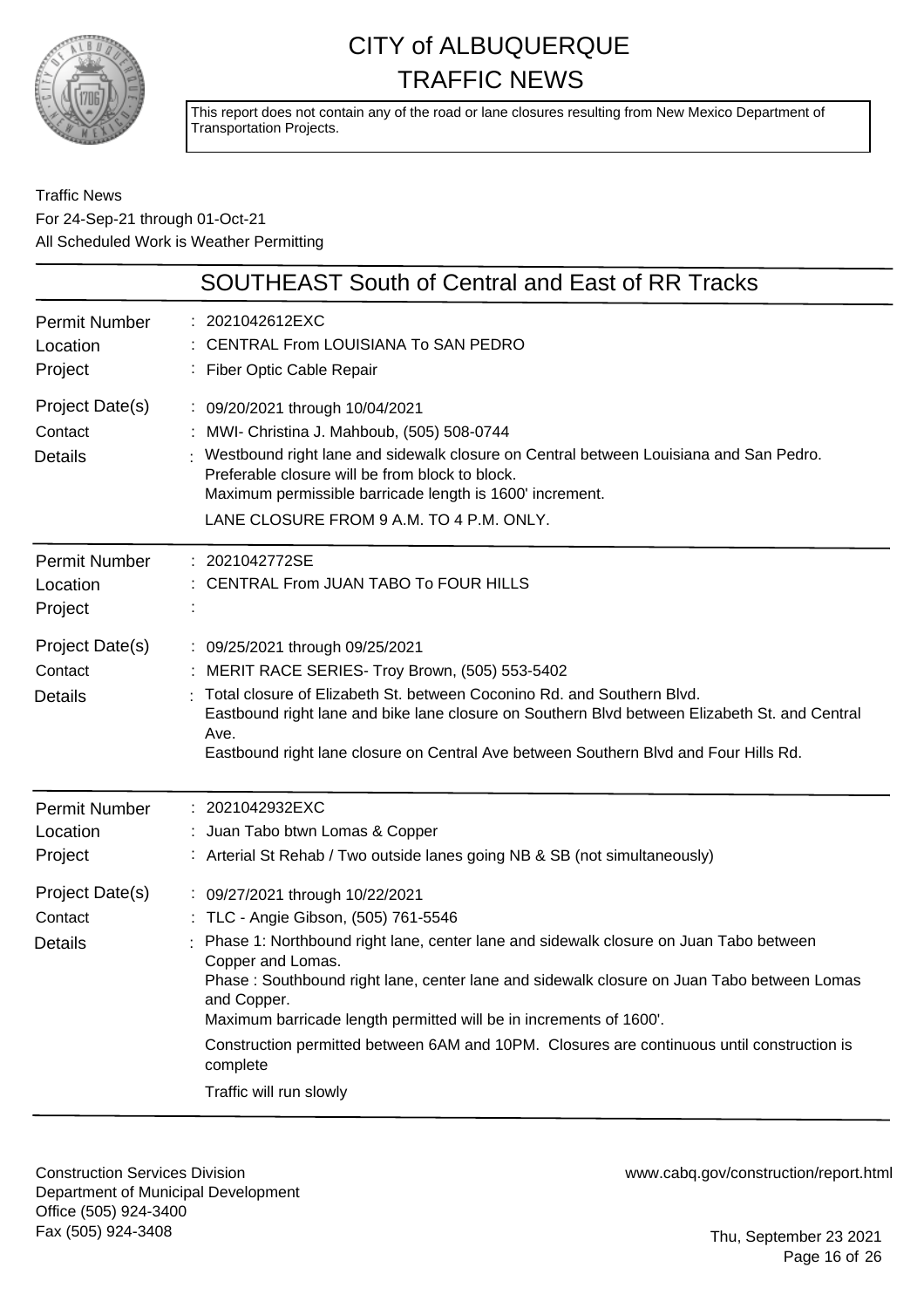

This report does not contain any of the road or lane closures resulting from New Mexico Department of Transportation Projects.

### Traffic News For 24-Sep-21 through 01-Oct-21 All Scheduled Work is Weather Permitting

|                                              | <b>SOUTHEAST South of Central and East of RR Tracks</b>                                                                                                                                                                                                                                                                                                                                                                                                                                                      |
|----------------------------------------------|--------------------------------------------------------------------------------------------------------------------------------------------------------------------------------------------------------------------------------------------------------------------------------------------------------------------------------------------------------------------------------------------------------------------------------------------------------------------------------------------------------------|
| <b>Permit Number</b><br>Location<br>Project  | : 2021042612EXC<br>: CENTRAL From LOUISIANA To SAN PEDRO<br>: Fiber Optic Cable Repair                                                                                                                                                                                                                                                                                                                                                                                                                       |
| Project Date(s)<br>Contact<br><b>Details</b> | : 09/20/2021 through 10/04/2021<br>MWI- Christina J. Mahboub, (505) 508-0744<br>: Westbound right lane and sidewalk closure on Central between Louisiana and San Pedro.<br>Preferable closure will be from block to block.<br>Maximum permissible barricade length is 1600' increment.<br>LANE CLOSURE FROM 9 A.M. TO 4 P.M. ONLY.                                                                                                                                                                           |
| <b>Permit Number</b><br>Location<br>Project  | : 2021042772SE<br>CENTRAL From JUAN TABO To FOUR HILLS                                                                                                                                                                                                                                                                                                                                                                                                                                                       |
| Project Date(s)<br>Contact<br><b>Details</b> | : 09/25/2021 through 09/25/2021<br>MERIT RACE SERIES- Troy Brown, (505) 553-5402<br>Total closure of Elizabeth St. between Coconino Rd. and Southern Blvd.<br>Eastbound right lane and bike lane closure on Southern Blvd between Elizabeth St. and Central<br>Ave.<br>Eastbound right lane closure on Central Ave between Southern Blvd and Four Hills Rd.                                                                                                                                                  |
| <b>Permit Number</b><br>Location<br>Project  | : 2021042932EXC<br>: Juan Tabo btwn Lomas & Copper<br>: Arterial St Rehab / Two outside lanes going NB & SB (not simultaneously)                                                                                                                                                                                                                                                                                                                                                                             |
| Project Date(s)<br>Contact<br><b>Details</b> | : 09/27/2021 through 10/22/2021<br>: TLC - Angie Gibson, (505) 761-5546<br>Phase 1: Northbound right lane, center lane and sidewalk closure on Juan Tabo between<br>Copper and Lomas.<br>Phase: Southbound right lane, center lane and sidewalk closure on Juan Tabo between Lomas<br>and Copper.<br>Maximum barricade length permitted will be in increments of 1600'.<br>Construction permitted between 6AM and 10PM. Closures are continuous until construction is<br>complete<br>Traffic will run slowly |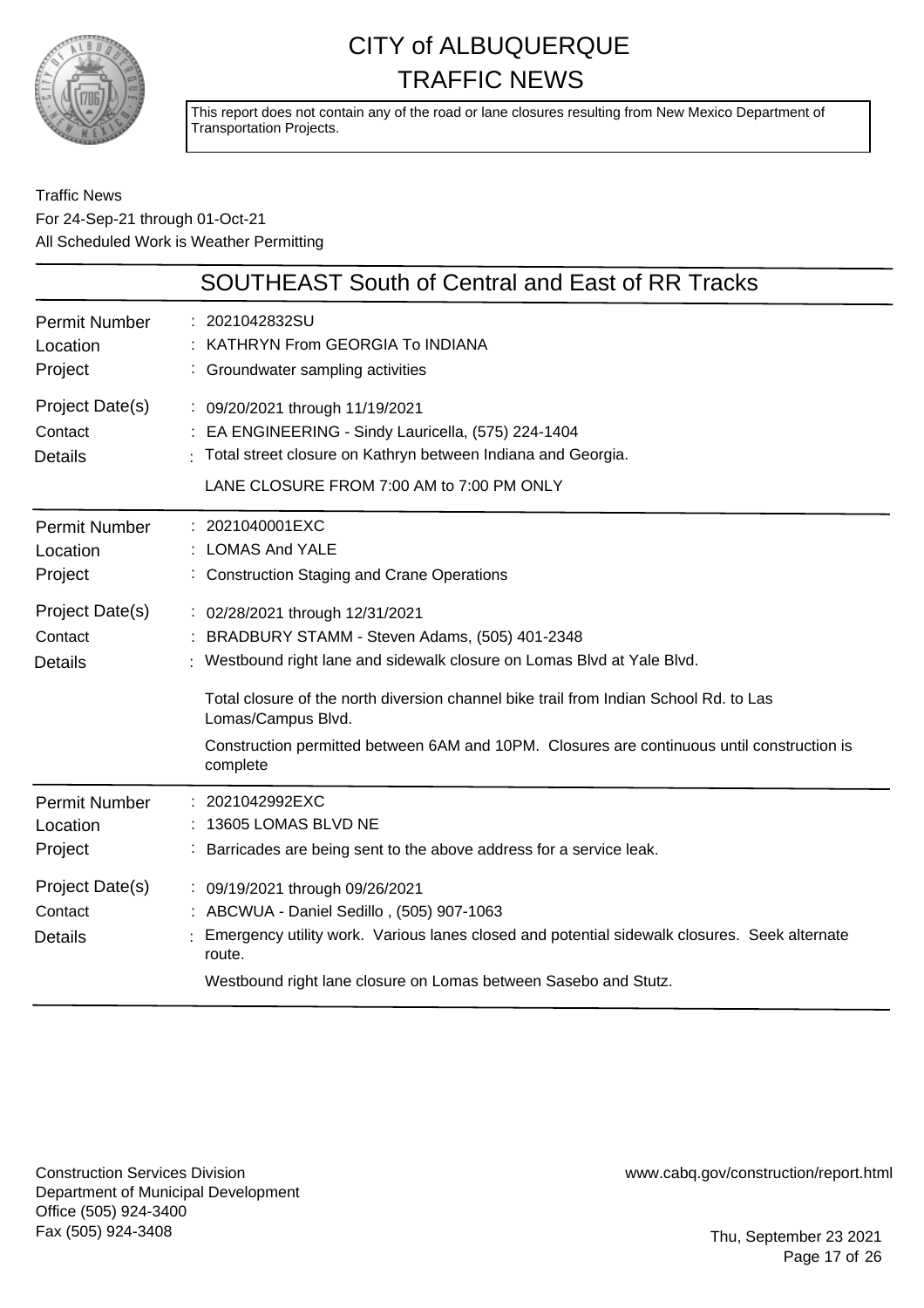

This report does not contain any of the road or lane closures resulting from New Mexico Department of Transportation Projects.

### Traffic News For 24-Sep-21 through 01-Oct-21 All Scheduled Work is Weather Permitting

|                                              | SOUTHEAST South of Central and East of RR Tracks                                                                                                                                                                                                                                                                                                                                   |
|----------------------------------------------|------------------------------------------------------------------------------------------------------------------------------------------------------------------------------------------------------------------------------------------------------------------------------------------------------------------------------------------------------------------------------------|
| <b>Permit Number</b><br>Location<br>Project  | : 2021042832SU<br>KATHRYN From GEORGIA To INDIANA<br>: Groundwater sampling activities                                                                                                                                                                                                                                                                                             |
| Project Date(s)<br>Contact<br><b>Details</b> | : 09/20/2021 through 11/19/2021<br>EA ENGINEERING - Sindy Lauricella, (575) 224-1404<br>: Total street closure on Kathryn between Indiana and Georgia.<br>LANE CLOSURE FROM 7:00 AM to 7:00 PM ONLY                                                                                                                                                                                |
| <b>Permit Number</b><br>Location<br>Project  | : 2021040001EXC<br><b>LOMAS And YALE</b><br>: Construction Staging and Crane Operations                                                                                                                                                                                                                                                                                            |
| Project Date(s)<br>Contact<br><b>Details</b> | : 02/28/2021 through 12/31/2021<br>BRADBURY STAMM - Steven Adams, (505) 401-2348<br>Westbound right lane and sidewalk closure on Lomas Blvd at Yale Blvd.<br>Total closure of the north diversion channel bike trail from Indian School Rd. to Las<br>Lomas/Campus Blvd.<br>Construction permitted between 6AM and 10PM. Closures are continuous until construction is<br>complete |
| <b>Permit Number</b><br>Location<br>Project  | : 2021042992EXC<br>13605 LOMAS BLVD NE<br>Barricades are being sent to the above address for a service leak.                                                                                                                                                                                                                                                                       |
| Project Date(s)<br>Contact<br><b>Details</b> | : 09/19/2021 through 09/26/2021<br>: ABCWUA - Daniel Sedillo, (505) 907-1063<br>Emergency utility work. Various lanes closed and potential sidewalk closures. Seek alternate<br>route.<br>Westbound right lane closure on Lomas between Sasebo and Stutz.                                                                                                                          |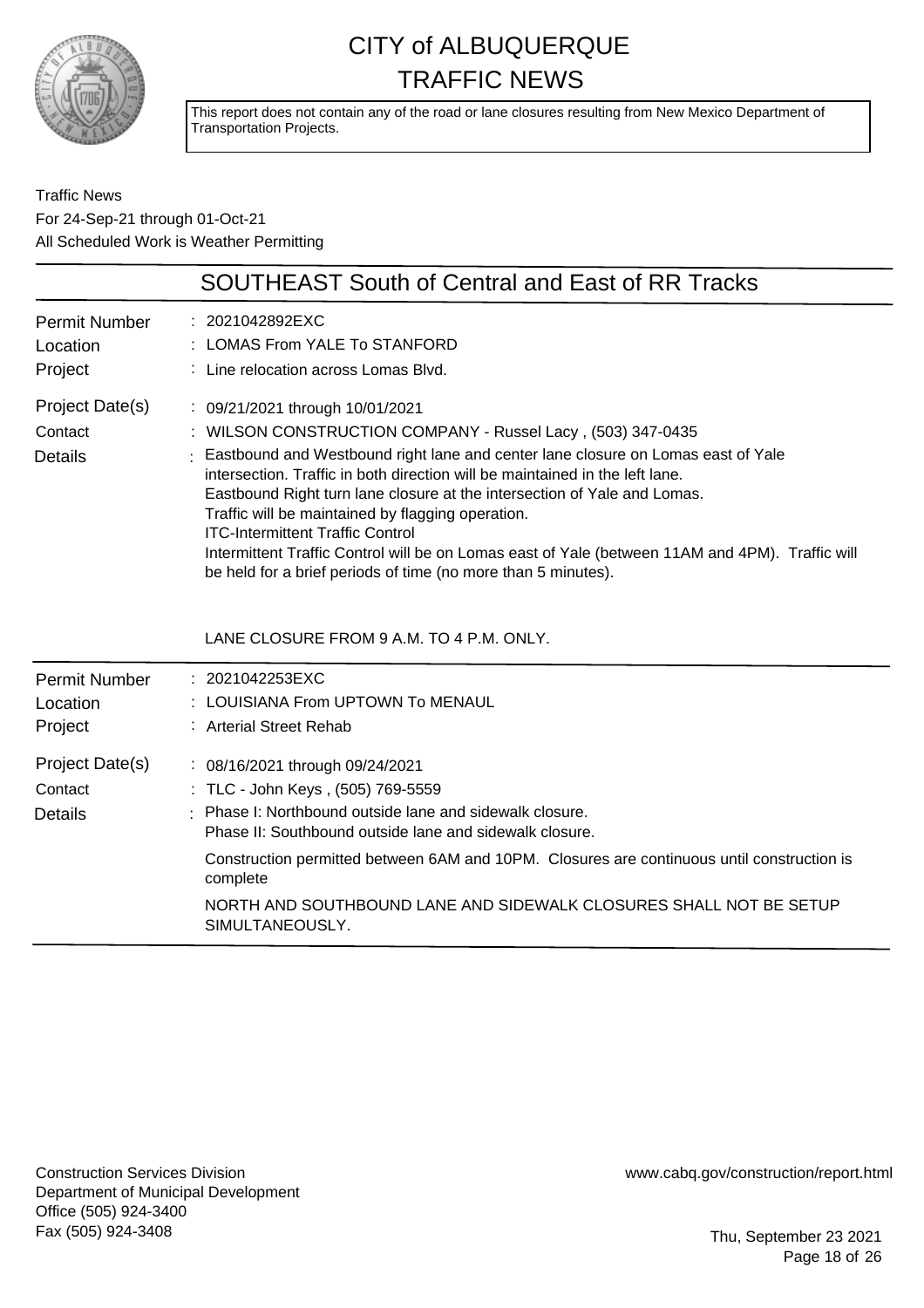

This report does not contain any of the road or lane closures resulting from New Mexico Department of Transportation Projects.

Traffic News For 24-Sep-21 through 01-Oct-21 All Scheduled Work is Weather Permitting

| <b>SOUTHEAST South of Central and East of RR Tracks</b>                                                                                                                                                                                                                                                                                                                                                                                                                                                                                                                                                              |
|----------------------------------------------------------------------------------------------------------------------------------------------------------------------------------------------------------------------------------------------------------------------------------------------------------------------------------------------------------------------------------------------------------------------------------------------------------------------------------------------------------------------------------------------------------------------------------------------------------------------|
| : 2021042892EXC<br>: LOMAS From YALE To STANFORD<br>: Line relocation across Lomas Blvd.                                                                                                                                                                                                                                                                                                                                                                                                                                                                                                                             |
| : 09/21/2021 through 10/01/2021<br>: WILSON CONSTRUCTION COMPANY - Russel Lacy, (503) 347-0435<br>: Eastbound and Westbound right lane and center lane closure on Lomas east of Yale<br>intersection. Traffic in both direction will be maintained in the left lane.<br>Eastbound Right turn lane closure at the intersection of Yale and Lomas.<br>Traffic will be maintained by flagging operation.<br><b>ITC-Intermittent Traffic Control</b><br>Intermittent Traffic Control will be on Lomas east of Yale (between 11AM and 4PM). Traffic will<br>be held for a brief periods of time (no more than 5 minutes). |
| LANE CLOSURE FROM 9 A.M. TO 4 P.M. ONLY.                                                                                                                                                                                                                                                                                                                                                                                                                                                                                                                                                                             |
| : 2021042253EXC<br>LOUISIANA From UPTOWN To MENAUL<br>: Arterial Street Rehab                                                                                                                                                                                                                                                                                                                                                                                                                                                                                                                                        |
| : 08/16/2021 through 09/24/2021<br>: TLC - John Keys, (505) 769-5559<br>: Phase I: Northbound outside lane and sidewalk closure.<br>Phase II: Southbound outside lane and sidewalk closure.<br>Construction permitted between 6AM and 10PM. Closures are continuous until construction is<br>complete<br>NORTH AND SOUTHBOUND LANE AND SIDEWALK CLOSURES SHALL NOT BE SETUP<br>SIMULTANEOUSLY.                                                                                                                                                                                                                       |
|                                                                                                                                                                                                                                                                                                                                                                                                                                                                                                                                                                                                                      |

Construction Services Division Department of Municipal Development Office (505) 924-3400 Fax (505) 924-3408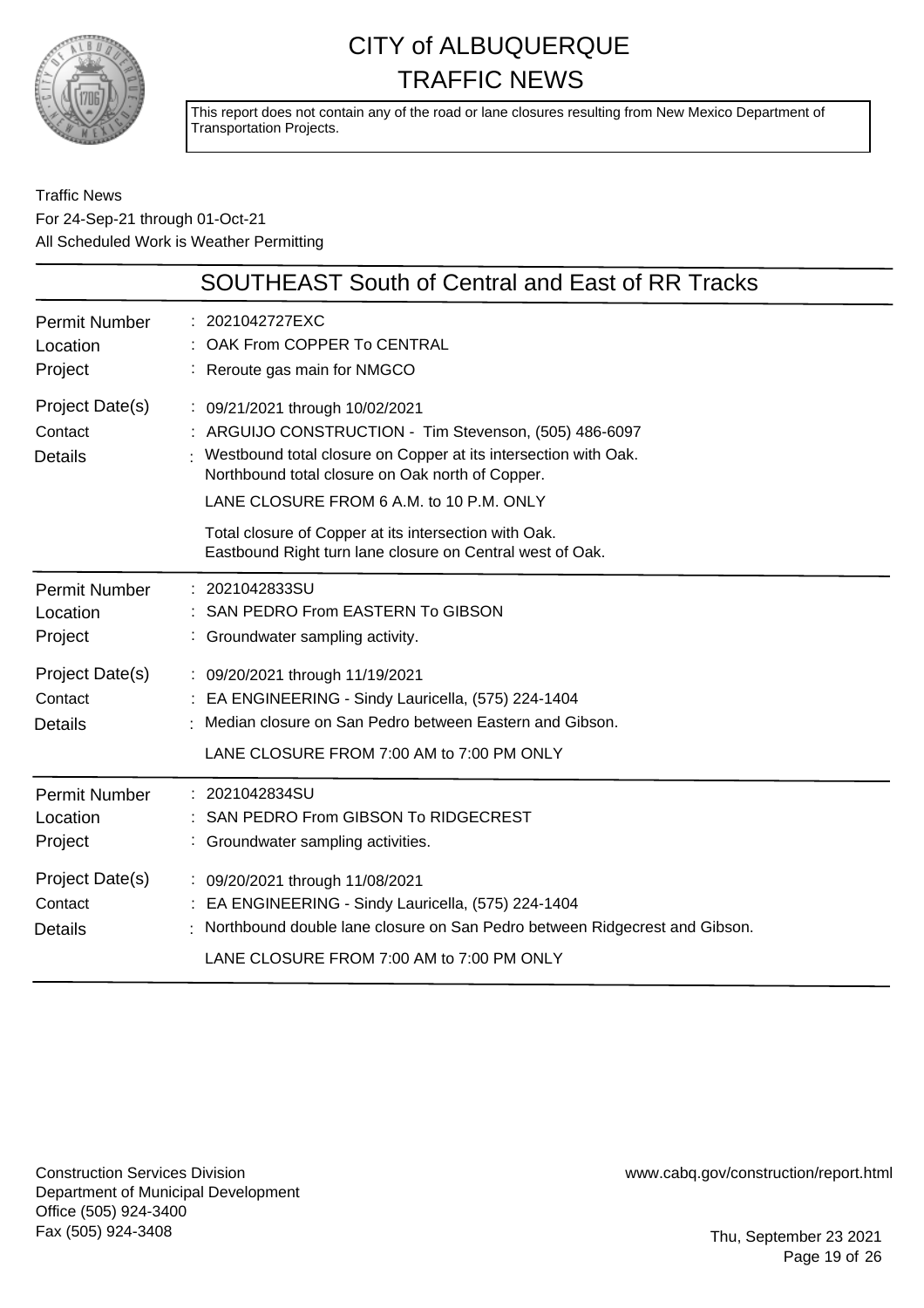

This report does not contain any of the road or lane closures resulting from New Mexico Department of Transportation Projects.

### Traffic News For 24-Sep-21 through 01-Oct-21 All Scheduled Work is Weather Permitting

|                                              | <b>SOUTHEAST South of Central and East of RR Tracks</b>                                                                                                                                                                                                      |
|----------------------------------------------|--------------------------------------------------------------------------------------------------------------------------------------------------------------------------------------------------------------------------------------------------------------|
| <b>Permit Number</b><br>Location<br>Project  | : 2021042727EXC<br>: OAK From COPPER To CENTRAL<br>: Reroute gas main for NMGCO                                                                                                                                                                              |
| Project Date(s)<br>Contact<br><b>Details</b> | : 09/21/2021 through 10/02/2021<br>: ARGUIJO CONSTRUCTION - Tim Stevenson, (505) 486-6097<br>Westbound total closure on Copper at its intersection with Oak.<br>Northbound total closure on Oak north of Copper.<br>LANE CLOSURE FROM 6 A.M. to 10 P.M. ONLY |
|                                              | Total closure of Copper at its intersection with Oak.<br>Eastbound Right turn lane closure on Central west of Oak.                                                                                                                                           |
| <b>Permit Number</b><br>Location<br>Project  | 2021042833SU<br>SAN PEDRO From EASTERN To GIBSON<br>: Groundwater sampling activity.                                                                                                                                                                         |
| Project Date(s)<br>Contact<br><b>Details</b> | : 09/20/2021 through 11/19/2021<br>EA ENGINEERING - Sindy Lauricella, (575) 224-1404<br>Median closure on San Pedro between Eastern and Gibson.<br>LANE CLOSURE FROM 7:00 AM to 7:00 PM ONLY                                                                 |
| <b>Permit Number</b><br>Location<br>Project  | : 2021042834SU<br>SAN PEDRO From GIBSON To RIDGECREST<br>: Groundwater sampling activities.                                                                                                                                                                  |
| Project Date(s)<br>Contact<br><b>Details</b> | : 09/20/2021 through 11/08/2021<br>EA ENGINEERING - Sindy Lauricella, (575) 224-1404<br>Northbound double lane closure on San Pedro between Ridgecrest and Gibson.<br>LANE CLOSURE FROM 7:00 AM to 7:00 PM ONLY                                              |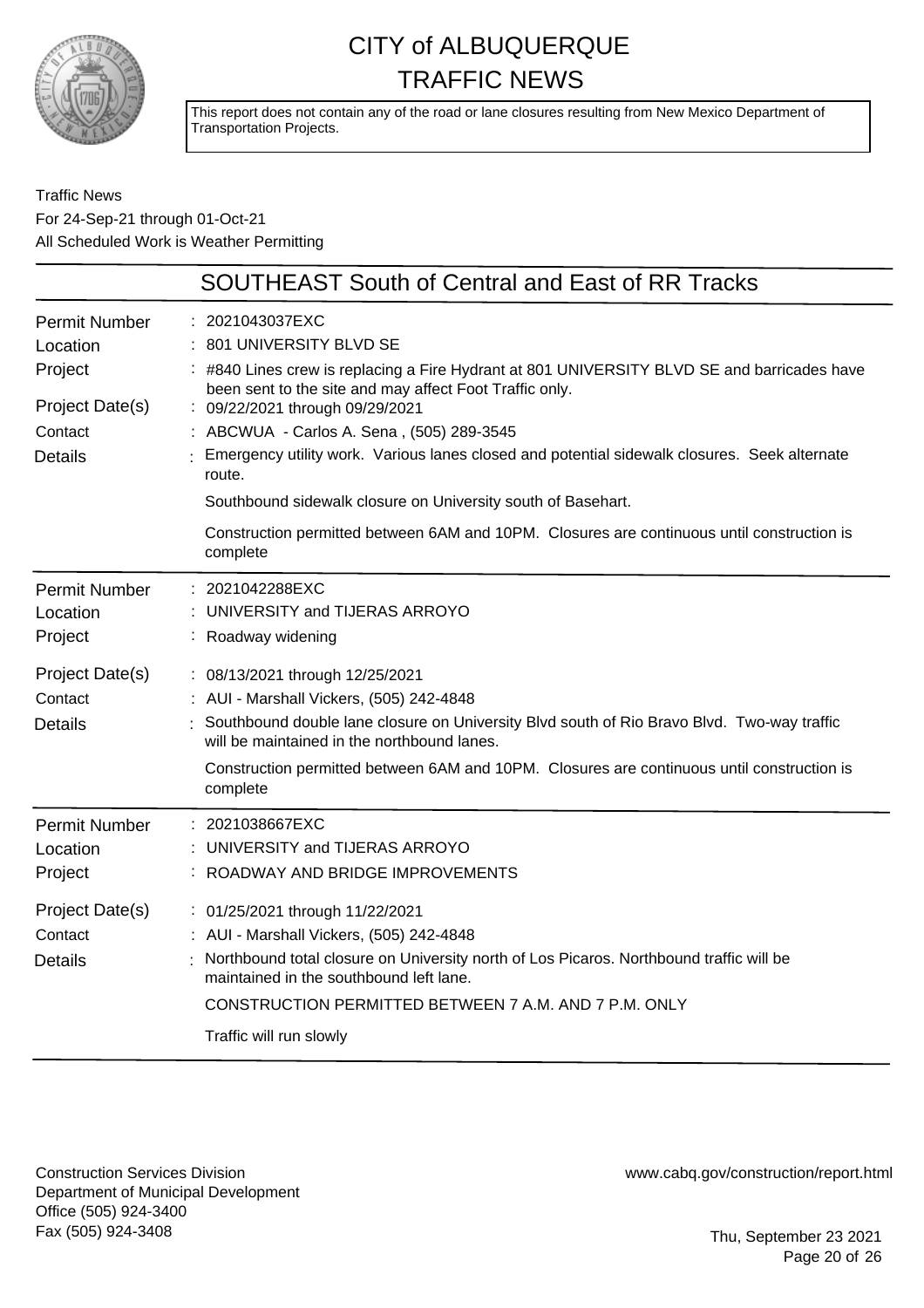

This report does not contain any of the road or lane closures resulting from New Mexico Department of Transportation Projects.

Traffic News For 24-Sep-21 through 01-Oct-21 All Scheduled Work is Weather Permitting

|                                                                                             | <b>SOUTHEAST South of Central and East of RR Tracks</b>                                                                                                                                                                                                                                                                                                                                                                                                       |
|---------------------------------------------------------------------------------------------|---------------------------------------------------------------------------------------------------------------------------------------------------------------------------------------------------------------------------------------------------------------------------------------------------------------------------------------------------------------------------------------------------------------------------------------------------------------|
| <b>Permit Number</b><br>Location<br>Project<br>Project Date(s)<br>Contact<br><b>Details</b> | : 2021043037EXC<br>801 UNIVERSITY BLVD SE<br>: #840 Lines crew is replacing a Fire Hydrant at 801 UNIVERSITY BLVD SE and barricades have<br>been sent to the site and may affect Foot Traffic only.<br>: 09/22/2021 through 09/29/2021<br>: ABCWUA - Carlos A. Sena, (505) 289-3545<br>Emergency utility work. Various lanes closed and potential sidewalk closures. Seek alternate<br>route.<br>Southbound sidewalk closure on University south of Basehart. |
|                                                                                             | Construction permitted between 6AM and 10PM. Closures are continuous until construction is<br>complete                                                                                                                                                                                                                                                                                                                                                        |
| <b>Permit Number</b><br>Location<br>Project                                                 | 2021042288EXC<br>UNIVERSITY and TIJERAS ARROYO<br>Roadway widening                                                                                                                                                                                                                                                                                                                                                                                            |
| Project Date(s)<br>Contact<br><b>Details</b>                                                | : 08/13/2021 through 12/25/2021<br>: AUI - Marshall Vickers, (505) 242-4848<br>Southbound double lane closure on University Blvd south of Rio Bravo Blvd. Two-way traffic<br>will be maintained in the northbound lanes.<br>Construction permitted between 6AM and 10PM. Closures are continuous until construction is<br>complete                                                                                                                            |
| <b>Permit Number</b><br>Location<br>Project                                                 | : 2021038667EXC<br>UNIVERSITY and TIJERAS ARROYO<br>ROADWAY AND BRIDGE IMPROVEMENTS                                                                                                                                                                                                                                                                                                                                                                           |
| Project Date(s)<br>Contact<br><b>Details</b>                                                | : 01/25/2021 through 11/22/2021<br>: AUI - Marshall Vickers, (505) 242-4848<br>Northbound total closure on University north of Los Picaros. Northbound traffic will be<br>maintained in the southbound left lane.<br>CONSTRUCTION PERMITTED BETWEEN 7 A.M. AND 7 P.M. ONLY<br>Traffic will run slowly                                                                                                                                                         |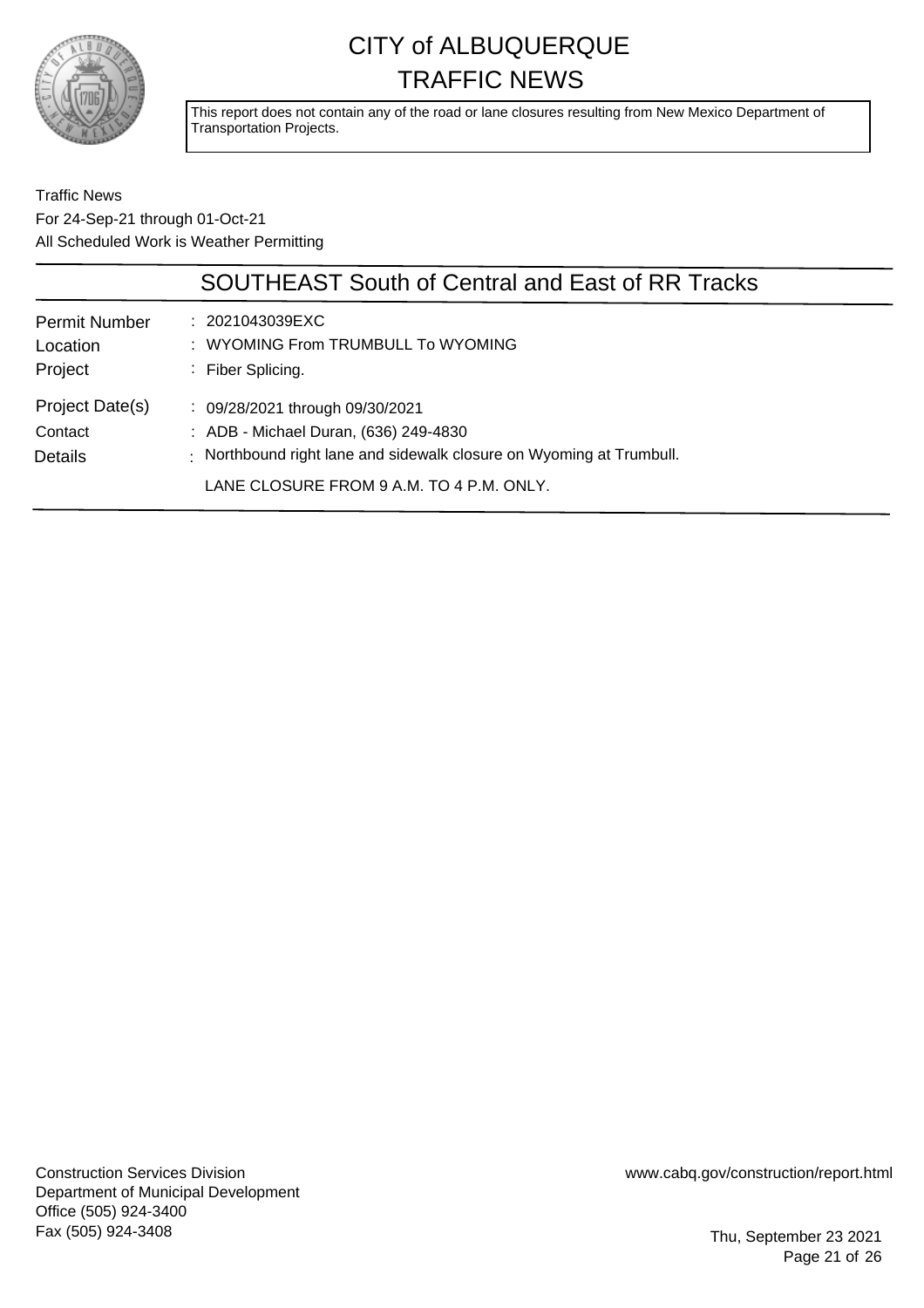

This report does not contain any of the road or lane closures resulting from New Mexico Department of Transportation Projects.

Traffic News For 24-Sep-21 through 01-Oct-21 All Scheduled Work is Weather Permitting

|                                              | <b>SOUTHEAST South of Central and East of RR Tracks</b>                                                                                                                                      |
|----------------------------------------------|----------------------------------------------------------------------------------------------------------------------------------------------------------------------------------------------|
| <b>Permit Number</b><br>Location<br>Project  | $: 2021043039 \text{EXC}$<br>: WYOMING From TRUMBULL To WYOMING<br>: Fiber Splicing.                                                                                                         |
| Project Date(s)<br>Contact<br><b>Details</b> | : 09/28/2021 through 09/30/2021<br>: ADB - Michael Duran, (636) 249-4830<br>: Northbound right lane and sidewalk closure on Wyoming at Trumbull.<br>LANE CLOSURE FROM 9 A.M. TO 4 P.M. ONLY. |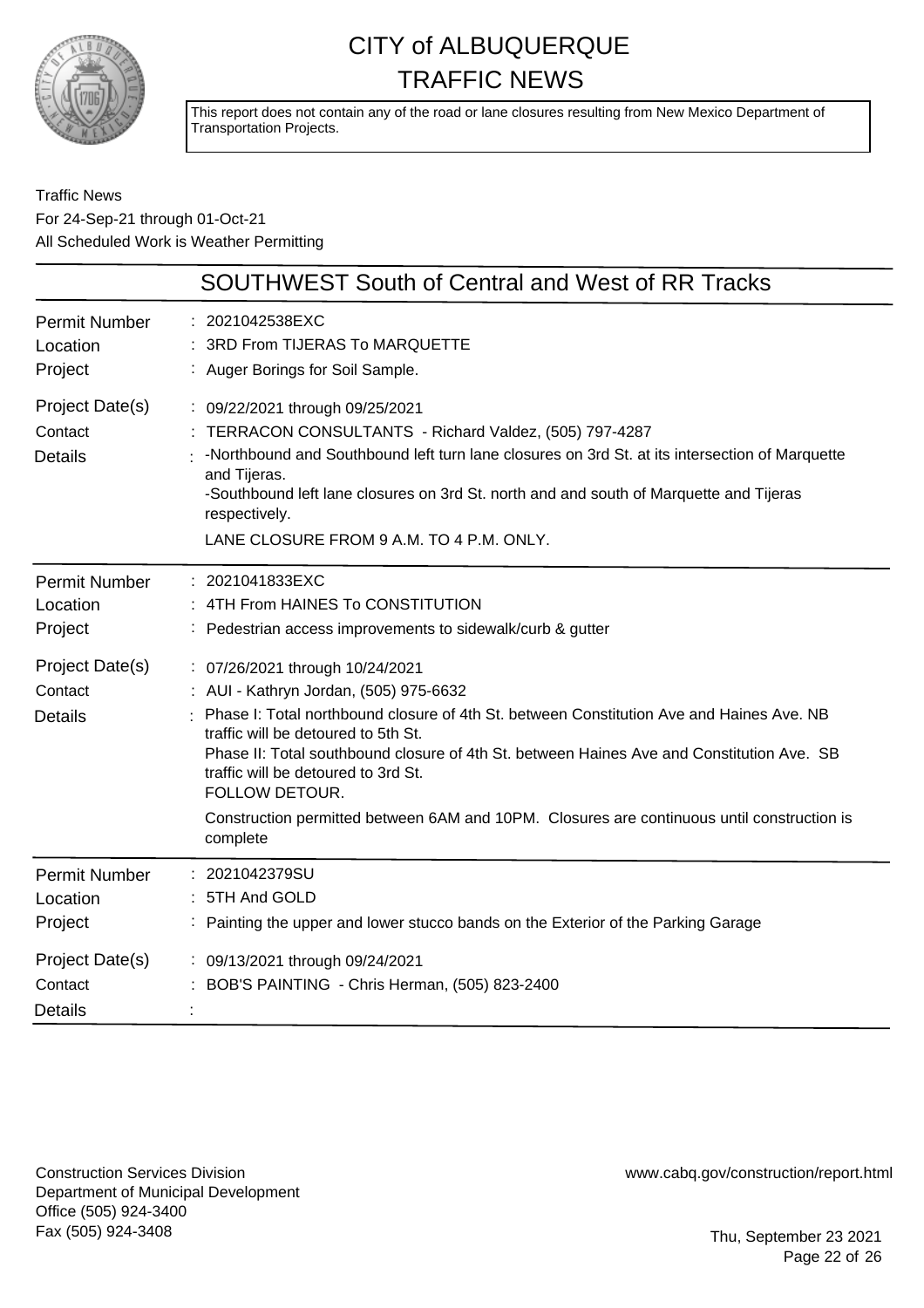

This report does not contain any of the road or lane closures resulting from New Mexico Department of Transportation Projects.

Traffic News For 24-Sep-21 through 01-Oct-21 All Scheduled Work is Weather Permitting

|                                              | <b>SOUTHWEST South of Central and West of RR Tracks</b>                                                                                                                                                                                                                                                                                                                                                                                                                      |
|----------------------------------------------|------------------------------------------------------------------------------------------------------------------------------------------------------------------------------------------------------------------------------------------------------------------------------------------------------------------------------------------------------------------------------------------------------------------------------------------------------------------------------|
| <b>Permit Number</b><br>Location<br>Project  | : 2021042538EXC<br>3RD From TIJERAS To MARQUETTE<br>: Auger Borings for Soil Sample.                                                                                                                                                                                                                                                                                                                                                                                         |
| Project Date(s)<br>Contact<br><b>Details</b> | : 09/22/2021 through 09/25/2021<br>TERRACON CONSULTANTS - Richard Valdez, (505) 797-4287<br>-Northbound and Southbound left turn lane closures on 3rd St. at its intersection of Marquette<br>and Tijeras.<br>-Southbound left lane closures on 3rd St. north and and south of Marquette and Tijeras<br>respectively.<br>LANE CLOSURE FROM 9 A.M. TO 4 P.M. ONLY.                                                                                                            |
| <b>Permit Number</b><br>Location<br>Project  | : 2021041833EXC<br>4TH From HAINES To CONSTITUTION<br>: Pedestrian access improvements to sidewalk/curb & gutter                                                                                                                                                                                                                                                                                                                                                             |
| Project Date(s)<br>Contact<br><b>Details</b> | : 07/26/2021 through 10/24/2021<br>: AUI - Kathryn Jordan, (505) 975-6632<br>Phase I: Total northbound closure of 4th St. between Constitution Ave and Haines Ave. NB<br>traffic will be detoured to 5th St.<br>Phase II: Total southbound closure of 4th St. between Haines Ave and Constitution Ave. SB<br>traffic will be detoured to 3rd St.<br>FOLLOW DETOUR.<br>Construction permitted between 6AM and 10PM. Closures are continuous until construction is<br>complete |
| <b>Permit Number</b><br>Location<br>Project  | 2021042379SU<br>5TH And GOLD<br>Painting the upper and lower stucco bands on the Exterior of the Parking Garage                                                                                                                                                                                                                                                                                                                                                              |
| Project Date(s)<br>Contact<br><b>Details</b> | : 09/13/2021 through 09/24/2021<br>BOB'S PAINTING - Chris Herman, (505) 823-2400                                                                                                                                                                                                                                                                                                                                                                                             |

Construction Services Division Department of Municipal Development Office (505) 924-3400 Fax (505) 924-3408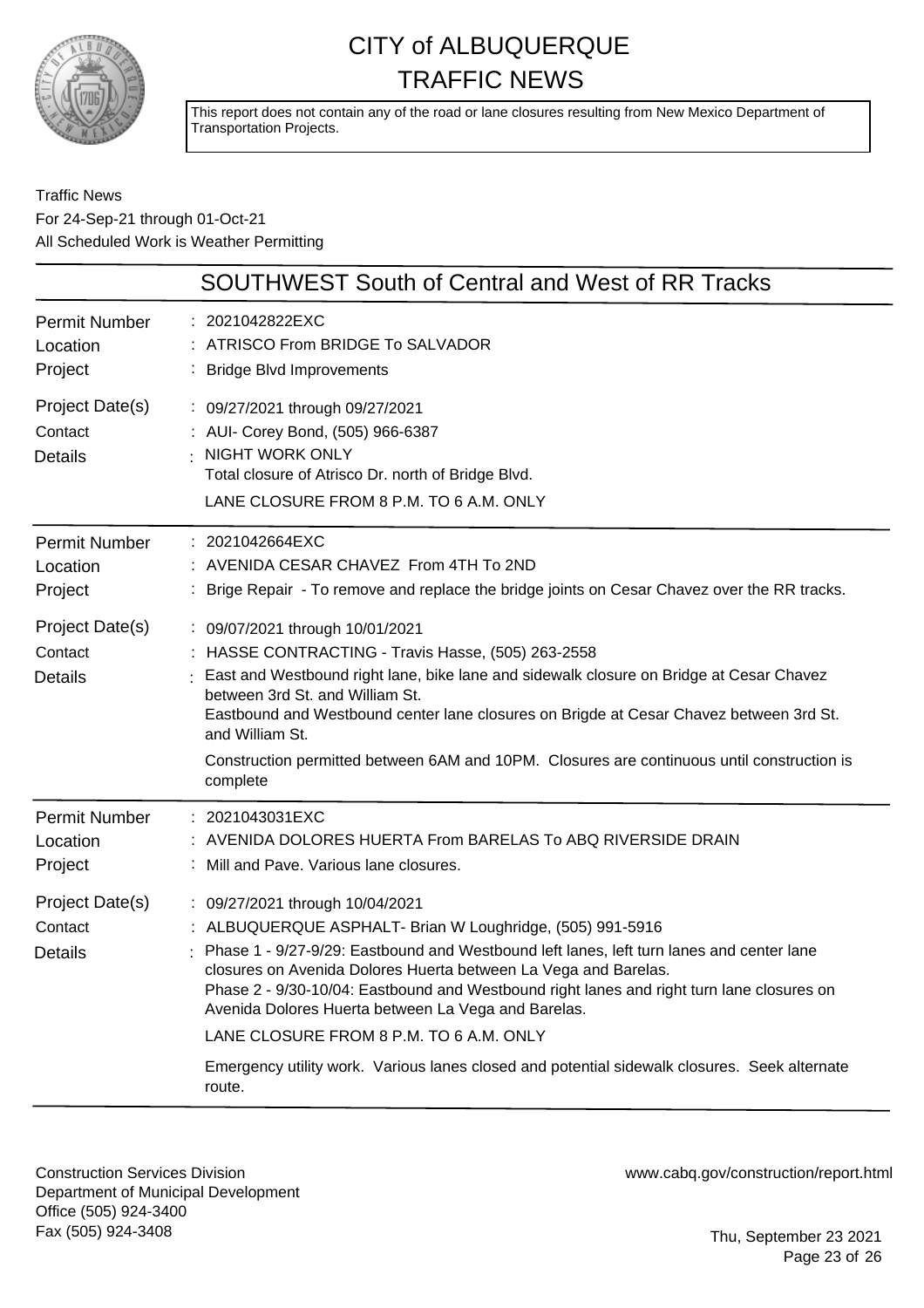

This report does not contain any of the road or lane closures resulting from New Mexico Department of Transportation Projects.

### Traffic News For 24-Sep-21 through 01-Oct-21 All Scheduled Work is Weather Permitting

|                                              | <b>SOUTHWEST South of Central and West of RR Tracks</b>                                                                                                                                                                                                                                                                                                                                                                                                                                                                                                                |
|----------------------------------------------|------------------------------------------------------------------------------------------------------------------------------------------------------------------------------------------------------------------------------------------------------------------------------------------------------------------------------------------------------------------------------------------------------------------------------------------------------------------------------------------------------------------------------------------------------------------------|
| <b>Permit Number</b><br>Location<br>Project  | : 2021042822EXC<br>: ATRISCO From BRIDGE To SALVADOR<br>: Bridge Blvd Improvements                                                                                                                                                                                                                                                                                                                                                                                                                                                                                     |
| Project Date(s)<br>Contact<br><b>Details</b> | : 09/27/2021 through 09/27/2021<br>: AUI- Corey Bond, (505) 966-6387<br><b>NIGHT WORK ONLY</b><br>Total closure of Atrisco Dr. north of Bridge Blvd.<br>LANE CLOSURE FROM 8 P.M. TO 6 A.M. ONLY                                                                                                                                                                                                                                                                                                                                                                        |
| <b>Permit Number</b><br>Location<br>Project  | : 2021042664EXC<br>: AVENIDA CESAR CHAVEZ From 4TH To 2ND<br>: Brige Repair - To remove and replace the bridge joints on Cesar Chavez over the RR tracks.                                                                                                                                                                                                                                                                                                                                                                                                              |
| Project Date(s)<br>Contact<br><b>Details</b> | : 09/07/2021 through 10/01/2021<br>: HASSE CONTRACTING - Travis Hasse, (505) 263-2558<br>East and Westbound right lane, bike lane and sidewalk closure on Bridge at Cesar Chavez<br>between 3rd St. and William St.<br>Eastbound and Westbound center lane closures on Brigde at Cesar Chavez between 3rd St.<br>and William St.<br>Construction permitted between 6AM and 10PM. Closures are continuous until construction is<br>complete                                                                                                                             |
| <b>Permit Number</b><br>Location<br>Project  | : 2021043031EXC<br>AVENIDA DOLORES HUERTA From BARELAS To ABQ RIVERSIDE DRAIN<br>: Mill and Pave. Various lane closures.                                                                                                                                                                                                                                                                                                                                                                                                                                               |
| Project Date(s)<br>Contact<br><b>Details</b> | : 09/27/2021 through 10/04/2021<br>: ALBUQUERQUE ASPHALT- Brian W Loughridge, (505) 991-5916<br>: Phase 1 - 9/27-9/29: Eastbound and Westbound left lanes, left turn lanes and center lane<br>closures on Avenida Dolores Huerta between La Vega and Barelas.<br>Phase 2 - 9/30-10/04: Eastbound and Westbound right lanes and right turn lane closures on<br>Avenida Dolores Huerta between La Vega and Barelas.<br>LANE CLOSURE FROM 8 P.M. TO 6 A.M. ONLY<br>Emergency utility work. Various lanes closed and potential sidewalk closures. Seek alternate<br>route. |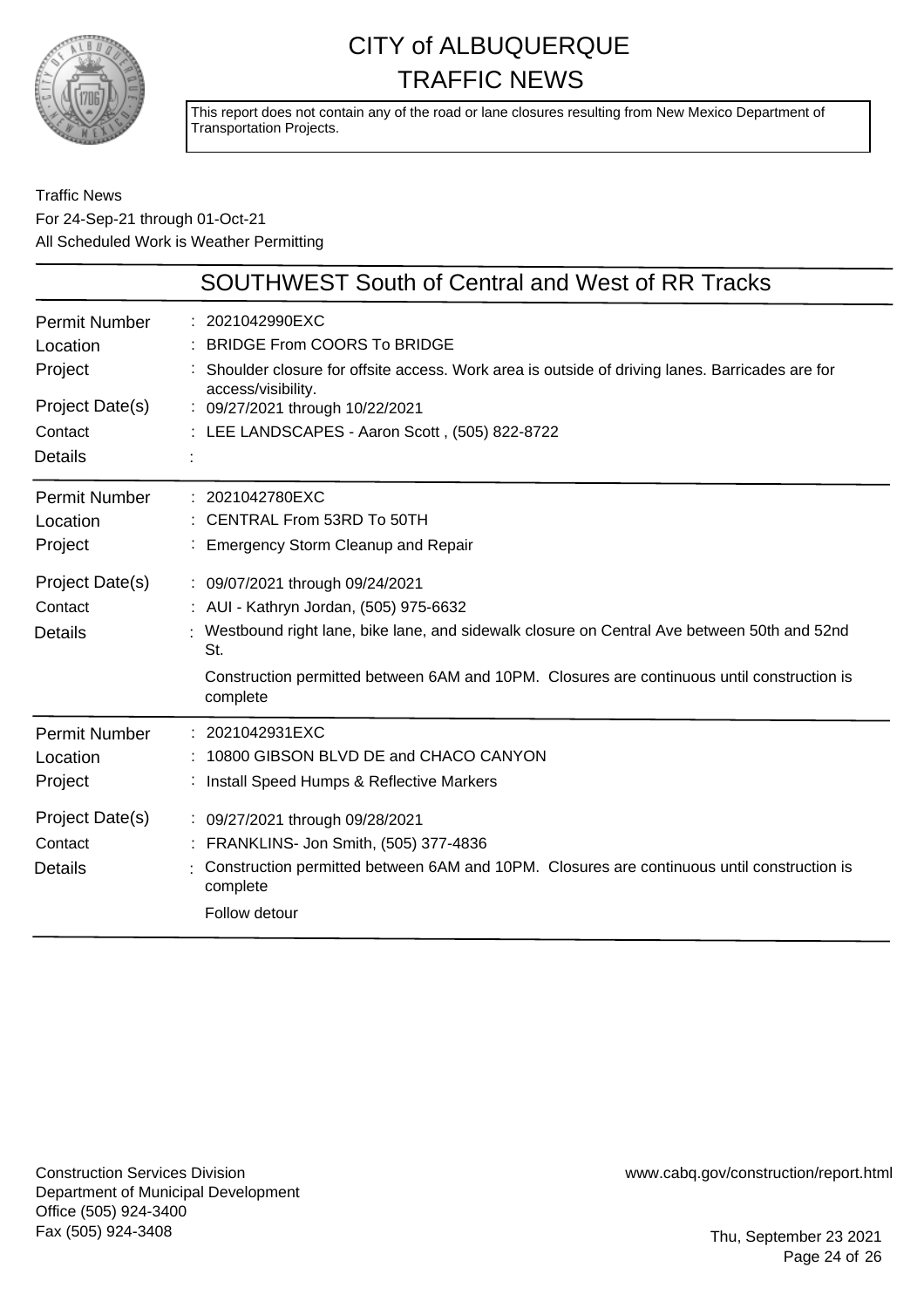

This report does not contain any of the road or lane closures resulting from New Mexico Department of Transportation Projects.

### Traffic News For 24-Sep-21 through 01-Oct-21 All Scheduled Work is Weather Permitting

|                                              | <b>SOUTHWEST South of Central and West of RR Tracks</b>                                                                                                                                                                                                                                  |
|----------------------------------------------|------------------------------------------------------------------------------------------------------------------------------------------------------------------------------------------------------------------------------------------------------------------------------------------|
| Permit Number<br>Location<br>Project         | : 2021042990EXC<br><b>BRIDGE From COORS To BRIDGE</b><br>Shoulder closure for offsite access. Work area is outside of driving lanes. Barricades are for<br>access/visibility.                                                                                                            |
| Project Date(s)                              | : 09/27/2021 through 10/22/2021                                                                                                                                                                                                                                                          |
| Contact                                      | : LEE LANDSCAPES - Aaron Scott, (505) 822-8722                                                                                                                                                                                                                                           |
| <b>Details</b>                               |                                                                                                                                                                                                                                                                                          |
| Permit Number<br>Location<br>Project         | : 2021042780EXC<br>CENTRAL From 53RD To 50TH<br>: Emergency Storm Cleanup and Repair                                                                                                                                                                                                     |
| Project Date(s)<br>Contact<br><b>Details</b> | : 09/07/2021 through 09/24/2021<br>: AUI - Kathryn Jordan, (505) 975-6632<br>Westbound right lane, bike lane, and sidewalk closure on Central Ave between 50th and 52nd<br>St.<br>Construction permitted between 6AM and 10PM. Closures are continuous until construction is<br>complete |
| <b>Permit Number</b><br>Location<br>Project  | : 2021042931EXC<br>10800 GIBSON BLVD DE and CHACO CANYON<br>: Install Speed Humps & Reflective Markers                                                                                                                                                                                   |
| Project Date(s)<br>Contact<br><b>Details</b> | : 09/27/2021 through 09/28/2021<br>: FRANKLINS- Jon Smith, (505) 377-4836<br>Construction permitted between 6AM and 10PM. Closures are continuous until construction is<br>complete<br>Follow detour                                                                                     |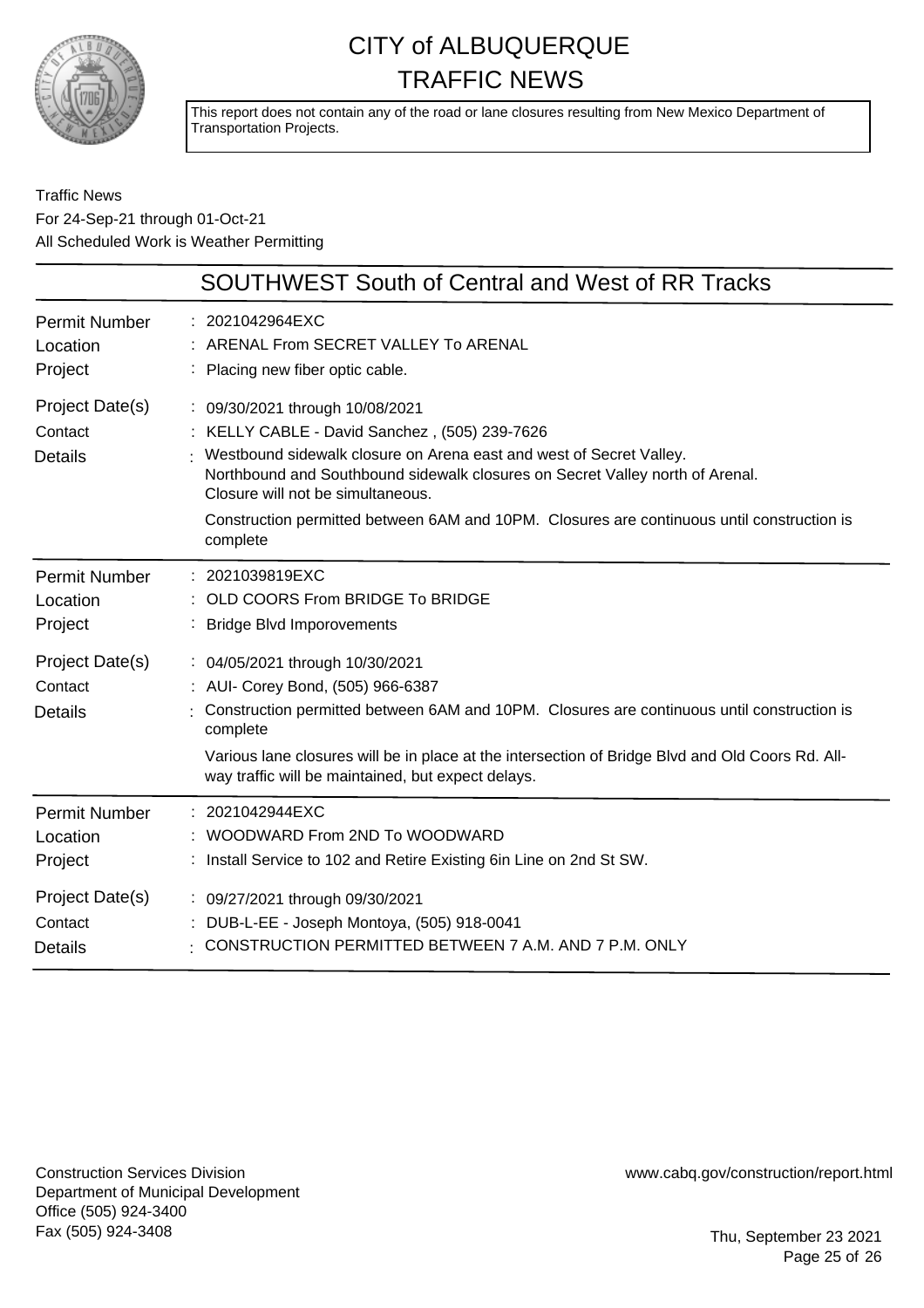

This report does not contain any of the road or lane closures resulting from New Mexico Department of Transportation Projects.

### Traffic News For 24-Sep-21 through 01-Oct-21 All Scheduled Work is Weather Permitting

|                                              | <b>SOUTHWEST South of Central and West of RR Tracks</b>                                                                                                                                                                                                                                                                                                                                 |
|----------------------------------------------|-----------------------------------------------------------------------------------------------------------------------------------------------------------------------------------------------------------------------------------------------------------------------------------------------------------------------------------------------------------------------------------------|
| <b>Permit Number</b>                         | : 2021042964EXC                                                                                                                                                                                                                                                                                                                                                                         |
| Location                                     | ARENAL From SECRET VALLEY To ARENAL                                                                                                                                                                                                                                                                                                                                                     |
| Project                                      | : Placing new fiber optic cable.                                                                                                                                                                                                                                                                                                                                                        |
| Project Date(s)<br>Contact<br><b>Details</b> | : 09/30/2021 through 10/08/2021<br>: KELLY CABLE - David Sanchez, (505) 239-7626<br>Westbound sidewalk closure on Arena east and west of Secret Valley.<br>Northbound and Southbound sidewalk closures on Secret Valley north of Arenal.<br>Closure will not be simultaneous.<br>Construction permitted between 6AM and 10PM. Closures are continuous until construction is<br>complete |
| <b>Permit Number</b>                         | : 2021039819EXC                                                                                                                                                                                                                                                                                                                                                                         |
| Location                                     | OLD COORS From BRIDGE To BRIDGE                                                                                                                                                                                                                                                                                                                                                         |
| Project                                      | <b>Bridge Blvd Imporovements</b>                                                                                                                                                                                                                                                                                                                                                        |
| Project Date(s)<br>Contact<br><b>Details</b> | : 04/05/2021 through 10/30/2021<br>: AUI- Corey Bond, (505) 966-6387<br>Construction permitted between 6AM and 10PM. Closures are continuous until construction is<br>complete<br>Various lane closures will be in place at the intersection of Bridge Blvd and Old Coors Rd. All-<br>way traffic will be maintained, but expect delays.                                                |
| <b>Permit Number</b>                         | : 2021042944EXC                                                                                                                                                                                                                                                                                                                                                                         |
| Location                                     | WOODWARD From 2ND To WOODWARD                                                                                                                                                                                                                                                                                                                                                           |
| Project                                      | : Install Service to 102 and Retire Existing 6in Line on 2nd St SW.                                                                                                                                                                                                                                                                                                                     |
| Project Date(s)                              | : 09/27/2021 through 09/30/2021                                                                                                                                                                                                                                                                                                                                                         |
| Contact                                      | DUB-L-EE - Joseph Montoya, (505) 918-0041                                                                                                                                                                                                                                                                                                                                               |
| <b>Details</b>                               | CONSTRUCTION PERMITTED BETWEEN 7 A.M. AND 7 P.M. ONLY                                                                                                                                                                                                                                                                                                                                   |